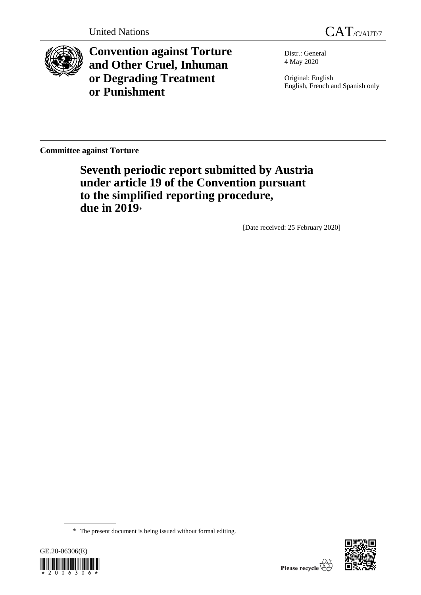



**Convention against Torture and Other Cruel, Inhuman or Degrading Treatment or Punishment**

Distr.: General 4 May 2020

Original: English English, French and Spanish only

**Committee against Torture**

**Seventh periodic report submitted by Austria under article 19 of the Convention pursuant to the simplified reporting procedure, due in 2019**\*

[Date received: 25 February 2020]

<sup>\*</sup> The present document is being issued without formal editing.



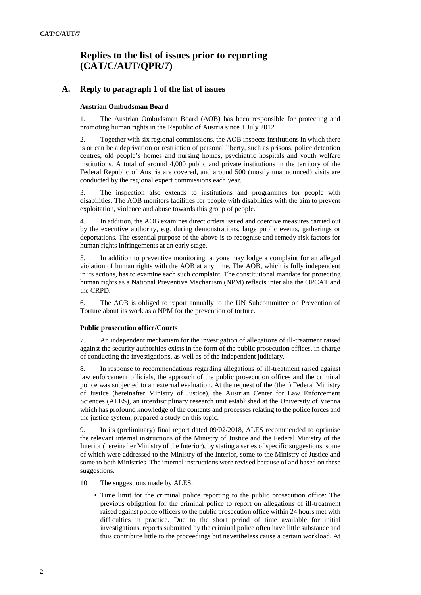# **Replies to the list of issues prior to reporting (CAT/C/AUT/QPR/7)**

## **A. Reply to paragraph 1 of the list of issues**

### **Austrian Ombudsman Board**

1. The Austrian Ombudsman Board (AOB) has been responsible for protecting and promoting human rights in the Republic of Austria since 1 July 2012.

2. Together with six regional commissions, the AOB inspects institutions in which there is or can be a deprivation or restriction of personal liberty, such as prisons, police detention centres, old people's homes and nursing homes, psychiatric hospitals and youth welfare institutions. A total of around 4,000 public and private institutions in the territory of the Federal Republic of Austria are covered, and around 500 (mostly unannounced) visits are conducted by the regional expert commissions each year.

3. The inspection also extends to institutions and programmes for people with disabilities. The AOB monitors facilities for people with disabilities with the aim to prevent exploitation, violence and abuse towards this group of people.

4. In addition, the AOB examines direct orders issued and coercive measures carried out by the executive authority, e.g. during demonstrations, large public events, gatherings or deportations. The essential purpose of the above is to recognise and remedy risk factors for human rights infringements at an early stage.

5. In addition to preventive monitoring, anyone may lodge a complaint for an alleged violation of human rights with the AOB at any time. The AOB, which is fully independent in its actions, has to examine each such complaint. The constitutional mandate for protecting human rights as a National Preventive Mechanism (NPM) reflects inter alia the OPCAT and the CRPD.

6. The AOB is obliged to report annually to the UN Subcommittee on Prevention of Torture about its work as a NPM for the prevention of torture.

#### **Public prosecution office/Courts**

7. An independent mechanism for the investigation of allegations of ill-treatment raised against the security authorities exists in the form of the public prosecution offices, in charge of conducting the investigations, as well as of the independent judiciary.

8. In response to recommendations regarding allegations of ill-treatment raised against law enforcement officials, the approach of the public prosecution offices and the criminal police was subjected to an external evaluation. At the request of the (then) Federal Ministry of Justice (hereinafter Ministry of Justice), the Austrian Center for Law Enforcement Sciences (ALES), an interdisciplinary research unit established at the University of Vienna which has profound knowledge of the contents and processes relating to the police forces and the justice system, prepared a study on this topic.

9. In its (preliminary) final report dated 09/02/2018, ALES recommended to optimise the relevant internal instructions of the Ministry of Justice and the Federal Ministry of the Interior (hereinafter Ministry of the Interior), by stating a series of specific suggestions, some of which were addressed to the Ministry of the Interior, some to the Ministry of Justice and some to both Ministries. The internal instructions were revised because of and based on these suggestions.

- 10. The suggestions made by ALES:
	- Time limit for the criminal police reporting to the public prosecution office: The previous obligation for the criminal police to report on allegations of ill-treatment raised against police officers to the public prosecution office within 24 hours met with difficulties in practice. Due to the short period of time available for initial investigations, reports submitted by the criminal police often have little substance and thus contribute little to the proceedings but nevertheless cause a certain workload. At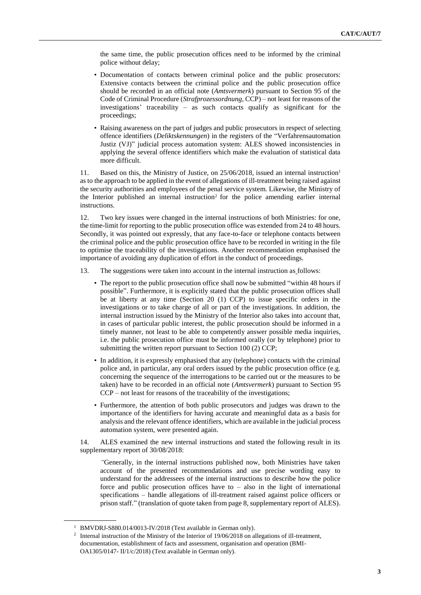the same time, the public prosecution offices need to be informed by the criminal police without delay;

- Documentation of contacts between criminal police and the public prosecutors: Extensive contacts between the criminal police and the public prosecution office should be recorded in an official note (*Amtsvermerk*) pursuant to Section 95 of the Code of Criminal Procedure (*Strafprozessordnung*, CCP) – not least for reasons of the investigations' traceability – as such contacts qualify as significant for the proceedings;
- Raising awareness on the part of judges and public prosecutors in respect of selecting offence identifiers (*Deliktskennungen*) in the registers of the "Verfahrensautomation Justiz (VJ)" judicial process automation system: ALES showed inconsistencies in applying the several offence identifiers which make the evaluation of statistical data more difficult.

11. Based on this, the Ministry of Justice, on 25/06/2018, issued an internal instruction<sup>1</sup> as to the approach to be applied in the event of allegations of ill-treatment being raised against the security authorities and employees of the penal service system. Likewise, the Ministry of the Interior published an internal instruction<sup>2</sup> for the police amending earlier internal instructions.

12. Two key issues were changed in the internal instructions of both Ministries: for one, the time-limit for reporting to the public prosecution office was extended from 24 to 48 hours. Secondly, it was pointed out expressly, that any face-to-face or telephone contacts between the criminal police and the public prosecution office have to be recorded in writing in the file to optimise the traceability of the investigations. Another recommendation emphasised the importance of avoiding any duplication of effort in the conduct of proceedings.

- 13. The suggestions were taken into account in the internal instruction as follows:
	- The report to the public prosecution office shall now be submitted "within 48 hours if possible". Furthermore, it is explicitly stated that the public prosecution offices shall be at liberty at any time (Section 20 (1) CCP) to issue specific orders in the investigations or to take charge of all or part of the investigations. In addition, the internal instruction issued by the Ministry of the Interior also takes into account that, in cases of particular public interest, the public prosecution should be informed in a timely manner, not least to be able to competently answer possible media inquiries, i.e. the public prosecution office must be informed orally (or by telephone) prior to submitting the written report pursuant to Section 100 (2) CCP;
	- In addition, it is expressly emphasised that any (telephone) contacts with the criminal police and, in particular, any oral orders issued by the public prosecution office (e.g. concerning the sequence of the interrogations to be carried out or the measures to be taken) have to be recorded in an official note (*Amtsvermerk*) pursuant to Section 95 CCP – not least for reasons of the traceability of the investigations;
	- Furthermore, the attention of both public prosecutors and judges was drawn to the importance of the identifiers for having accurate and meaningful data as a basis for analysis and the relevant offence identifiers, which are available in the judicial process automation system, were presented again.

14. ALES examined the new internal instructions and stated the following result in its supplementary report of 30/08/2018:

*"*Generally, in the internal instructions published now, both Ministries have taken account of the presented recommendations and use precise wording easy to understand for the addressees of the internal instructions to describe how the police force and public prosecution offices have to  $-$  also in the light of international specifications – handle allegations of ill-treatment raised against police officers or prison staff." (translation of quote taken from page 8, supplementary report of ALES).

<sup>&</sup>lt;sup>1</sup> BMVDRJ-S880.014/0013-IV/2018 (Text available in German only).

<sup>&</sup>lt;sup>2</sup> Internal instruction of the Ministry of the Interior of 19/06/2018 on allegations of ill-treatment, documentation, establishment of facts and assessment, organisation and operation (BMI-OA1305/0147- II/1/c/2018) (Text available in German only).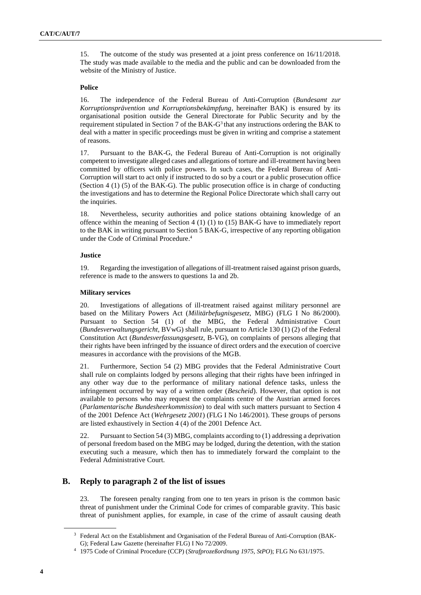15. The outcome of the study was presented at a joint press conference on 16/11/2018. The study was made available to the media and the public and can be downloaded from the [website](https://www.justiz.gv.at/web2013/home/presse/pressemitteilungen/pressemitteilungen-2018/ales-studie-ueber-den-umgang-mit-misshandlungsvorwuerfen-gegen-exekutivbeamte~11b.de.html) of the Ministry of Justice.

### **Police**

16. The independence of the Federal Bureau of Anti-Corruption (*Bundesamt zur Korruptionsprävention und Korruptionsbekämpfung*, hereinafter BAK) is ensured by its organisational position outside the General Directorate for Public Security and by the requirement stipulated in Section 7 of the BAK-G<sup>3</sup> that any instructions ordering the BAK to deal with a matter in specific proceedings must be given in writing and comprise a statement of reasons.

17. Pursuant to the BAK-G, the Federal Bureau of Anti-Corruption is not originally competent to investigate alleged cases and allegations of torture and ill-treatment having been committed by officers with police powers. In such cases, the Federal Bureau of Anti-Corruption will start to act only if instructed to do so by a court or a public prosecution office (Section 4 (1) (5) of the BAK-G). The public prosecution office is in charge of conducting the investigations and has to determine the Regional Police Directorate which shall carry out the inquiries.

18. Nevertheless, security authorities and police stations obtaining knowledge of an offence within the meaning of Section 4 (1) (1) to (15) BAK-G have to immediately report to the BAK in writing pursuant to Section 5 BAK-G, irrespective of any reporting obligation under the Code of Criminal Procedure. 4

### **Justice**

19. Regarding the investigation of allegations of ill-treatment raised against prison guards, reference is made to the answers to questions 1a and 2b.

### **Military services**

20. Investigations of allegations of ill-treatment raised against military personnel are based on the Military Powers Act (*Militärbefugnisgesetz,* MBG) (FLG I No 86/2000). Pursuant to Section 54 (1) of the MBG, the Federal Administrative Court (*Bundesverwaltungsgericht*, BVwG) shall rule, pursuant to Article 130 (1) (2) of the Federal Constitution Act (*Bundesverfassungsgesetz,* B-VG), on complaints of persons alleging that their rights have been infringed by the issuance of direct orders and the execution of coercive measures in accordance with the provisions of the MGB.

21. Furthermore, Section 54 (2) MBG provides that the Federal Administrative Court shall rule on complaints lodged by persons alleging that their rights have been infringed in any other way due to the performance of military national defence tasks, unless the infringement occurred by way of a written order (*Bescheid*). However, that option is not available to persons who may request the complaints centre of the Austrian armed forces (*Parlamentarische Bundesheerkommission*) to deal with such matters pursuant to Section 4 of the 2001 Defence Act (*Wehrgesetz 2001*) (FLG I No 146/2001). These groups of persons are listed exhaustively in Section 4 (4) of the 2001 Defence Act.

22. Pursuant to Section 54 (3) MBG, complaints according to (1) addressing a deprivation of personal freedom based on the MBG may be lodged, during the detention, with the station executing such a measure, which then has to immediately forward the complaint to the Federal Administrative Court.

## **B. Reply to paragraph 2 of the list of issues**

23. The foreseen penalty ranging from one to ten years in prison is the common basic threat of punishment under the Criminal Code for crimes of comparable gravity. This basic threat of punishment applies, for example, in case of the crime of assault causing death

<sup>&</sup>lt;sup>3</sup> Federal Act on the Establishment and Organisation of the Federal Bureau of Anti-Corruption (BAK-G)[; Federal Law Gazette \(hereinafter FLG\)](https://www.ris.bka.gv.at/eli/bgbl/I/2009/72) I No 72/2009.

<sup>4</sup> 1975 Code of Criminal Procedure (CCP) (*Strafprozeßordnung 1975, StPO*); [FLG No 631/1975](https://www.ris.bka.gv.at/Dokumente/BgblPdf/1975_631_0/1975_631_0.pdf).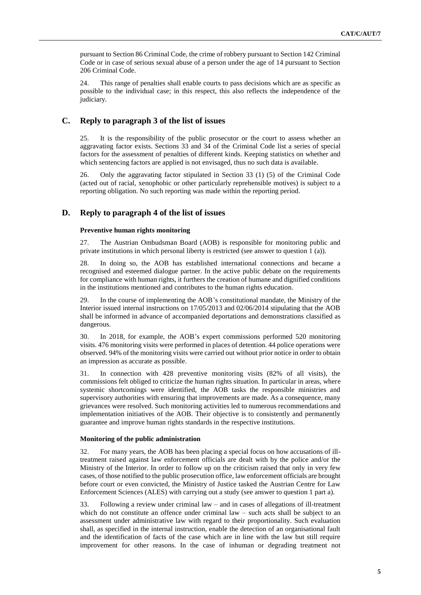pursuant to Section 86 Criminal Code, the crime of robbery pursuant to Section 142 Criminal Code or in case of serious sexual abuse of a person under the age of 14 pursuant to Section 206 Criminal Code.

24. This range of penalties shall enable courts to pass decisions which are as specific as possible to the individual case; in this respect, this also reflects the independence of the judiciary.

## **C. Reply to paragraph 3 of the list of issues**

25. It is the responsibility of the public prosecutor or the court to assess whether an aggravating factor exists. Sections 33 and 34 of the [Criminal Code](https://www.ris.bka.gv.at/Dokument.wxe?Abfrage=Bundesnormen&Dokumentnummer=NOR12039035) list a series of special factors for the assessment of penalties of different kinds. Keeping statistics on whether and which sentencing factors are applied is not envisaged, thus no such data is available.

26. Only the aggravating factor stipulated in Section 33 (1) (5) of the Criminal Code (acted out of racial, xenophobic or other particularly reprehensible motives) is subject to a reporting obligation. No such reporting was made within the reporting period.

### **D. Reply to paragraph 4 of the list of issues**

### **Preventive human rights monitoring**

27. The Austrian Ombudsman Board (AOB) is responsible for monitoring public and private institutions in which personal liberty is restricted (see answer to question 1 (a)).

28. In doing so, the AOB has established international connections and became a recognised and esteemed dialogue partner. In the active public debate on the requirements for compliance with human rights, it furthers the creation of humane and dignified conditions in the institutions mentioned and contributes to the human rights education.

29. In the course of implementing the AOB's constitutional mandate, the Ministry of the Interior issued internal instructions on 17/05/2013 and 02/06/2014 stipulating that the AOB shall be informed in advance of accompanied deportations and demonstrations classified as dangerous.

30. In 2018, for example, the AOB's expert commissions performed 520 monitoring visits. 476 monitoring visits were performed in places of detention. 44 police operations were observed. 94% of the monitoring visits were carried out without prior notice in order to obtain an impression as accurate as possible.

31. In connection with 428 preventive monitoring visits (82% of all visits), the commissions felt obliged to criticize the human rights situation. In particular in areas, where systemic shortcomings were identified, the AOB tasks the responsible ministries and supervisory authorities with ensuring that improvements are made. As a consequence, many grievances were resolved. Such monitoring activities led to numerous recommendations and implementation initiatives of the AOB. Their objective is to consistently and permanently guarantee and improve human rights standards in the respective institutions.

#### **Monitoring of the public administration**

32. For many years, the AOB has been placing a special focus on how accusations of illtreatment raised against law enforcement officials are dealt with by the police and/or the Ministry of the Interior. In order to follow up on the criticism raised that only in very few cases, of those notified to the public prosecution office, law enforcement officials are brought before court or even convicted, the Ministry of Justice tasked the Austrian Centre for Law Enforcement Sciences (ALES) with carrying out a study (see answer to question 1 part a).

33. Following a review under criminal law – and in cases of allegations of ill-treatment which do not constitute an offence under criminal law – such acts shall be subject to an assessment under administrative law with regard to their proportionality. Such evaluation shall, as specified in the internal instruction, enable the detection of an organisational fault and the identification of facts of the case which are in line with the law but still require improvement for other reasons. In the case of inhuman or degrading treatment not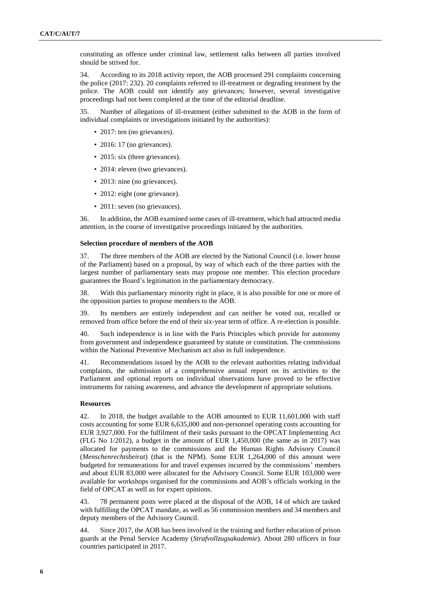constituting an offence under criminal law, settlement talks between all parties involved should be strived for.

34. According to its 2018 activity report, the AOB processed 291 complaints concerning the police (2017: 232). 20 complaints referred to ill-treatment or degrading treatment by the police. The AOB could not identify any grievances; however, several investigative proceedings had not been completed at the time of the editorial deadline.

35. Number of allegations of ill-treatment (either submitted to the AOB in the form of individual complaints or investigations initiated by the authorities):

- 2017: ten (no grievances).
- 2016: 17 (no grievances).
- 2015: six (three grievances).
- 2014: eleven (two grievances).
- 2013: nine (no grievances).
- 2012: eight (one grievance).
- 2011: seven (no grievances).

36. In addition, the AOB examined some cases of ill-treatment, which had attracted media attention, in the course of investigative proceedings initiated by the authorities.

#### **Selection procedure of members of the AOB**

37. The three members of the AOB are elected by the National Council (i.e. lower house of the Parliament) based on a proposal, by way of which each of the three parties with the largest number of parliamentary seats may propose one member. This election procedure guarantees the Board's legitimation in the parliamentary democracy.

38. With this parliamentary minority right in place, it is also possible for one or more of the opposition parties to propose members to the AOB.

39. Its members are entirely independent and can neither be voted out, recalled or removed from office before the end of their six-year term of office. A re-election is possible.

40. Such independence is in line with the Paris Principles which provide for autonomy from government and independence guaranteed by statute or constitution. The commissions within the National Preventive Mechanism act also in full independence.

41. Recommendations issued by the AOB to the relevant authorities relating individual complaints, the submission of a comprehensive annual report on its activities to the Parliament and optional reports on individual observations have proved to be effective instruments for raising awareness, and advance the development of appropriate solutions.

#### **Resources**

42. In 2018, the budget available to the AOB amounted to EUR 11,601,000 with staff costs accounting for some EUR 6,635,000 and non-personnel operating costs accounting for EUR 3,927,000. For the fulfilment of their tasks pursuant to the OPCAT Implementing Act (FLG No 1/2012), a budget in the amount of EUR 1,450,000 (the same as in 2017) was allocated for payments to the commissions and the Human Rights Advisory Council (*Menschenrechtsbeirat*) (that is the NPM). Some EUR 1,264,000 of this amount were budgeted for remunerations for and travel expenses incurred by the commissions' members and about EUR 83,000 were allocated for the Advisory Council. Some EUR 103,000 were available for workshops organised for the commissions and AOB's officials working in the field of OPCAT as well as for expert opinions.

43. 78 permanent posts were placed at the disposal of the AOB, 14 of which are tasked with fulfilling the OPCAT mandate, as well as 56 commission members and 34 members and deputy members of the Advisory Council.

44. Since 2017, the AOB has been involved in the training and further education of prison guards at the Penal Service Academy (*Strafvollzugsakademie*). About 280 officers in four countries participated in 2017.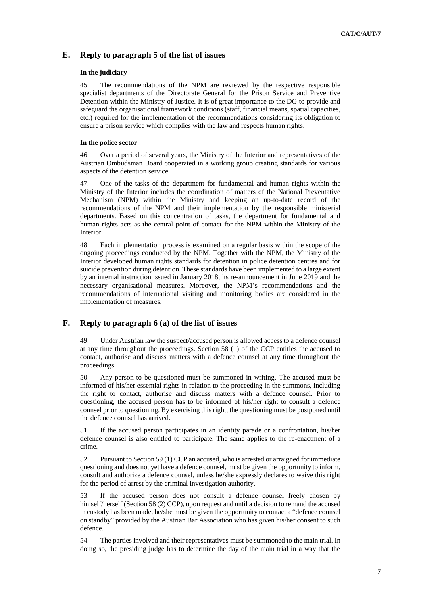## **E. Reply to paragraph 5 of the list of issues**

### **In the judiciary**

45. The recommendations of the NPM are reviewed by the respective responsible specialist departments of the Directorate General for the Prison Service and Preventive Detention within the Ministry of Justice. It is of great importance to the DG to provide and safeguard the organisational framework conditions (staff, financial means, spatial capacities, etc.) required for the implementation of the recommendations considering its obligation to ensure a prison service which complies with the law and respects human rights.

### **In the police sector**

46. Over a period of several years, the Ministry of the Interior and representatives of the Austrian Ombudsman Board cooperated in a working group creating standards for various aspects of the detention service.

47. One of the tasks of the department for fundamental and human rights within the Ministry of the Interior includes the coordination of matters of the National Preventative Mechanism (NPM) within the Ministry and keeping an up-to-date record of the recommendations of the NPM and their implementation by the responsible ministerial departments. Based on this concentration of tasks, the department for fundamental and human rights acts as the central point of contact for the NPM within the Ministry of the Interior.

48. Each implementation process is examined on a regular basis within the scope of the ongoing proceedings conducted by the NPM. Together with the NPM, the Ministry of the Interior developed human rights standards for detention in police detention centres and for suicide prevention during detention. These standards have been implemented to a large extent by an internal instruction issued in January 2018, its re-announcement in June 2019 and the necessary organisational measures. Moreover, the NPM's recommendations and the recommendations of international visiting and monitoring bodies are considered in the implementation of measures.

## **F. Reply to paragraph 6 (a) of the list of issues**

49. Under Austrian law the suspect/accused person is allowed access to a defence counsel at any time throughout the proceedings. Section 58 (1) of the CCP entitles the accused to contact, authorise and discuss matters with a defence counsel at any time throughout the proceedings.

50. Any person to be questioned must be summoned in writing. The accused must be informed of his/her essential rights in relation to the proceeding in the summons, including the right to contact, authorise and discuss matters with a defence counsel. Prior to questioning, the accused person has to be informed of his/her right to consult a defence counsel prior to questioning. By exercising this right, the questioning must be postponed until the defence counsel has arrived.

51. If the accused person participates in an identity parade or a confrontation, his/her defence counsel is also entitled to participate. The same applies to the re-enactment of a crime.

52. Pursuant to Section 59 (1) CCP an accused, who is arrested or arraigned for immediate questioning and does not yet have a defence counsel, must be given the opportunity to inform, consult and authorize a defence counsel, unless he/she expressly declares to waive this right for the period of arrest by the criminal investigation authority.

53. If the accused person does not consult a defence counsel freely chosen by himself/herself (Section 58 (2) CCP), upon request and until a decision to remand the accused in custody has been made, he/she must be given the opportunity to contact a "defence counsel on standby" provided by the Austrian Bar Association who has given his/her consent to such defence.

54. The parties involved and their representatives must be summoned to the main trial. In doing so, the presiding judge has to determine the day of the main trial in a way that the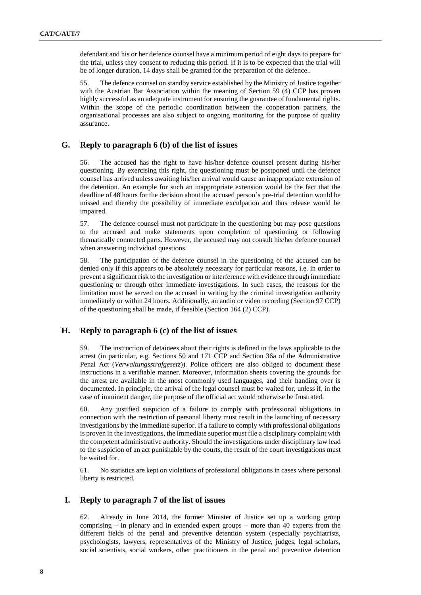defendant and his or her defence counsel have a minimum period of eight days to prepare for the trial, unless they consent to reducing this period. If it is to be expected that the trial will be of longer duration, 14 days shall be granted for the preparation of the defence..

55. The defence counsel on standby service established by the Ministry of Justice together with the Austrian Bar Association within the meaning of Section 59 (4) CCP has proven highly successful as an adequate instrument for ensuring the guarantee of fundamental rights. Within the scope of the periodic coordination between the cooperation partners, the organisational processes are also subject to ongoing monitoring for the purpose of quality assurance.

## **G. Reply to paragraph 6 (b) of the list of issues**

56. The accused has the right to have his/her defence counsel present during his/her questioning. By exercising this right, the questioning must be postponed until the defence counsel has arrived unless awaiting his/her arrival would cause an inappropriate extension of the detention. An example for such an inappropriate extension would be the fact that the deadline of 48 hours for the decision about the accused person's pre-trial detention would be missed and thereby the possibility of immediate exculpation and thus release would be impaired.

57. The defence counsel must not participate in the questioning but may pose questions to the accused and make statements upon completion of questioning or following thematically connected parts. However, the accused may not consult his/her defence counsel when answering individual questions.

58. The participation of the defence counsel in the questioning of the accused can be denied only if this appears to be absolutely necessary for particular reasons, i.e. in order to prevent a significant risk to the investigation or interference with evidence through immediate questioning or through other immediate investigations. In such cases, the reasons for the limitation must be served on the accused in writing by the criminal investigation authority immediately or within 24 hours. Additionally, an audio or video recording (Section 97 CCP) of the questioning shall be made, if feasible (Section 164 (2) CCP).

## **H. Reply to paragraph 6 (c) of the list of issues**

59. The instruction of detainees about their rights is defined in the laws applicable to the arrest (in particular, e.g. Sections 50 and 171 CCP and Section 36a of the Administrative Penal Act (*Verwaltungsstrafgesetz*)). Police officers are also obliged to document these instructions in a verifiable manner. Moreover, information sheets covering the grounds for the arrest are available in the most commonly used languages, and their handing over is documented. In principle, the arrival of the legal counsel must be waited for, unless if, in the case of imminent danger, the purpose of the official act would otherwise be frustrated.

60. Any justified suspicion of a failure to comply with professional obligations in connection with the restriction of personal liberty must result in the launching of necessary investigations by the immediate superior. If a failure to comply with professional obligations is proven in the investigations, the immediate superior must file a disciplinary complaint with the competent administrative authority. Should the investigations under disciplinary law lead to the suspicion of an act punishable by the courts, the result of the court investigations must be waited for.

61. No statistics are kept on violations of professional obligations in cases where personal liberty is restricted.

## **I. Reply to paragraph 7 of the list of issues**

62. Already in June 2014, the former Minister of Justice set up a working group comprising – in plenary and in extended expert groups – more than 40 experts from the different fields of the penal and preventive detention system (especially psychiatrists, psychologists, lawyers, representatives of the Ministry of Justice, judges, legal scholars, social scientists, social workers, other practitioners in the penal and preventive detention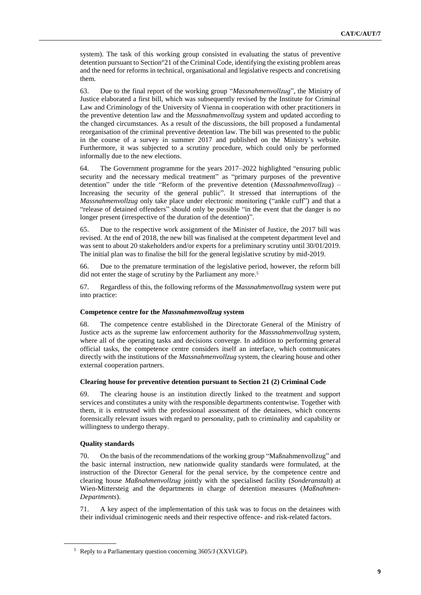system). The task of this working group consisted in evaluating the status of preventive detention pursuant to Section°21 of the Criminal Code, identifying the existing problem areas and the need for reforms in technical, organisational and legislative respects and concretising them.

63. Due to the final report of the working group "*Massnahmenvollzug*", the Ministry of Justice elaborated a first bill, which was subsequently revised by the Institute for Criminal Law and Criminology of the University of Vienna in cooperation with other practitioners in the preventive detention law and the *Massnahmenvollzug* system and updated according to the changed circumstances. As a result of the discussions, the bill proposed a fundamental reorganisation of the criminal preventive detention law. The bill was presented to the public in the course of a survey in summer 2017 and published on the Ministry's website. Furthermore, it was subjected to a scrutiny procedure, which could only be performed informally due to the new elections.

64. The Government programme for the years 2017–2022 highlighted "ensuring public security and the necessary medical treatment" as "primary purposes of the preventive detention" under the title "Reform of the preventive detention (*Massnahmenvollzug*) – Increasing the security of the general public". It stressed that interruptions of the *Massnahmenvollzug* only take place under electronic monitoring ("ankle cuff") and that a "release of detained offenders" should only be possible "in the event that the danger is no longer present (irrespective of the duration of the detention)".

65. Due to the respective work assignment of the Minister of Justice, the 2017 bill was revised. At the end of 2018, the new bill was finalised at the competent department level and was sent to about 20 stakeholders and/or experts for a preliminary scrutiny until 30/01/2019. The initial plan was to finalise the bill for the general legislative scrutiny by mid-2019.

66. Due to the premature termination of the legislative period, however, the reform bill did not enter the stage of scrutiny by the Parliament any more. 5

67. Regardless of this, the following reforms of the *Massnahmenvollzug* system were put into practice:

#### **Competence centre for the** *Massnahmenvollzug* **system**

68. The competence centre established in the Directorate General of the Ministry of Justice acts as the supreme law enforcement authority for the *Massnahmenvollzug* system*,*  where all of the operating tasks and decisions converge. In addition to performing general official tasks, the competence centre considers itself an interface, which communicates directly with the institutions of the *Massnahmenvollzug* system*,* the clearing house and other external cooperation partners.

### **Clearing house for preventive detention pursuant to Section 21 (2) Criminal Code**

69. The clearing house is an institution directly linked to the treatment and support services and constitutes a unity with the responsible departments contentwise. Together with them, it is entrusted with the professional assessment of the detainees, which concerns forensically relevant issues with regard to personality, path to criminality and capability or willingness to undergo therapy.

### **Quality standards**

70. On the basis of the recommendations of the working group "Maßnahmenvollzug" and the basic internal instruction, new nationwide quality standards were formulated, at the instruction of the Director General for the penal service, by the competence centre and clearing house *Maßnahmenvollzug* jointly with the specialised facility (*Sonderanstalt*) at Wien-Mittersteig and the departments in charge of detention measures (*Maßnahmen-Departments*).

71. A key aspect of the implementation of this task was to focus on the detainees with their individual criminogenic needs and their respective offence- and risk-related factors.

<sup>5</sup> Reply to a Parliamentary question concerning 3605/J (XXVI.GP).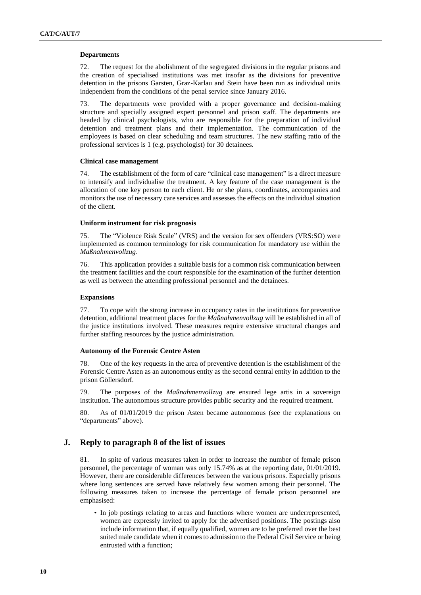#### **Departments**

72. The request for the abolishment of the segregated divisions in the regular prisons and the creation of specialised institutions was met insofar as the divisions for preventive detention in the prisons Garsten, Graz-Karlau and Stein have been run as individual units independent from the conditions of the penal service since January 2016.

73. The departments were provided with a proper governance and decision-making structure and specially assigned expert personnel and prison staff. The departments are headed by clinical psychologists, who are responsible for the preparation of individual detention and treatment plans and their implementation. The communication of the employees is based on clear scheduling and team structures. The new staffing ratio of the professional services is 1 (e.g. psychologist) for 30 detainees.

#### **Clinical case management**

74. The establishment of the form of care "clinical case management" is a direct measure to intensify and individualise the treatment. A key feature of the case management is the allocation of one key person to each client. He or she plans, coordinates, accompanies and monitors the use of necessary care services and assesses the effects on the individual situation of the client.

### **Uniform instrument for risk prognosis**

75. The "Violence Risk Scale" (VRS) and the version for sex offenders (VRS:SO) were implemented as common terminology for risk communication for mandatory use within the *Maßnahmenvollzug*.

76. This application provides a suitable basis for a common risk communication between the treatment facilities and the court responsible for the examination of the further detention as well as between the attending professional personnel and the detainees.

### **Expansions**

77. To cope with the strong increase in occupancy rates in the institutions for preventive detention, additional treatment places for the *Maßnahmenvollzug* will be established in all of the justice institutions involved. These measures require extensive structural changes and further staffing resources by the justice administration.

### **Autonomy of the Forensic Centre Asten**

78. One of the key requests in the area of preventive detention is the establishment of the Forensic Centre Asten as an autonomous entity as the second central entity in addition to the prison Göllersdorf.

79. The purposes of the *Maßnahmenvollzug* are ensured lege artis in a sovereign institution. The autonomous structure provides public security and the required treatment.

80. As of 01/01/2019 the prison Asten became autonomous (see the explanations on "departments" above).

## **J. Reply to paragraph 8 of the list of issues**

81. In spite of various measures taken in order to increase the number of female prison personnel, the percentage of woman was only 15.74% as at the reporting date, 01/01/2019. However, there are considerable differences between the various prisons. Especially prisons where long sentences are served have relatively few women among their personnel. The following measures taken to increase the percentage of female prison personnel are emphasised:

• In job postings relating to areas and functions where women are underrepresented, women are expressly invited to apply for the advertised positions. The postings also include information that, if equally qualified, women are to be preferred over the best suited male candidate when it comes to admission to the Federal Civil Service or being entrusted with a function;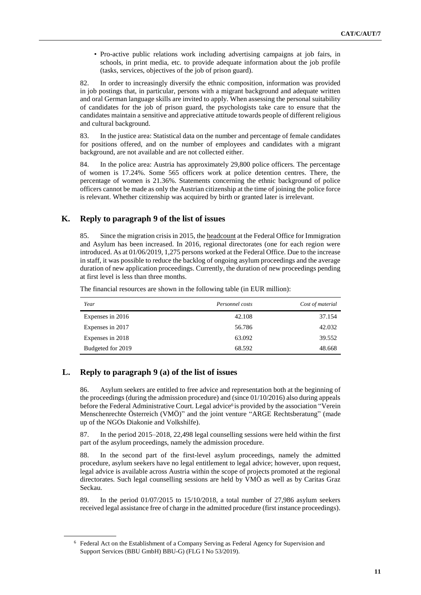• Pro-active public relations work including advertising campaigns at job fairs, in schools, in print media, etc. to provide adequate information about the job profile (tasks, services, objectives of the job of prison guard).

82. In order to increasingly diversify the ethnic composition, information was provided in job postings that, in particular, persons with a migrant background and adequate written and oral German language skills are invited to apply. When assessing the personal suitability of candidates for the job of prison guard, the psychologists take care to ensure that the candidates maintain a sensitive and appreciative attitude towards people of different religious and cultural background.

83. In the justice area: Statistical data on the number and percentage of female candidates for positions offered, and on the number of employees and candidates with a migrant background, are not available and are not collected either.

84. In the police area: Austria has approximately 29,800 police officers. The percentage of women is 17.24%. Some 565 officers work at police detention centres. There, the percentage of women is 21.36%. Statements concerning the ethnic background of police officers cannot be made as only the Austrian citizenship at the time of joining the police force is relevant. Whether citizenship was acquired by birth or granted later is irrelevant.

## **K. Reply to paragraph 9 of the list of issues**

85. Since the migration crisis in 2015, the headcount at the Federal Office for Immigration and Asylum has been increased. In 2016, regional directorates (one for each region were introduced. As at 01/06/2019, 1,275 persons worked at the Federal Office. Due to the increase in staff, it was possible to reduce the backlog of ongoing asylum proceedings and the average duration of new application proceedings. Currently, the duration of new proceedings pending at first level is less than three months.

The financial resources are shown in the following table (in EUR million):

| Year              | Personnel costs | Cost of material |
|-------------------|-----------------|------------------|
| Expenses in 2016  | 42.108          | 37.154           |
| Expenses in 2017  | 56.786          | 42.032           |
| Expenses in 2018  | 63.092          | 39.552           |
| Budgeted for 2019 | 68.592          | 48.668           |

## **L. Reply to paragraph 9 (a) of the list of issues**

86. Asylum seekers are entitled to free advice and representation both at the beginning of the proceedings (during the admission procedure) and (since 01/10/2016) also during appeals before the Federal Administrative Court. Legal advice<sup>6</sup> is provided by the association "Verein Menschenrechte Österreich (VMÖ)" and the joint venture "ARGE Rechtsberatung" (made up of the NGOs Diakonie and Volkshilfe).

87. In the period 2015–2018, 22,498 legal counselling sessions were held within the first part of the asylum proceedings, namely the admission procedure.

88. In the second part of the first-level asylum proceedings, namely the admitted procedure, asylum seekers have no legal entitlement to legal advice; however, upon request, legal advice is available across Austria within the scope of projects promoted at the regional directorates. Such legal counselling sessions are held by VMÖ as well as by Caritas Graz Seckau.

89. In the period 01/07/2015 to 15/10/2018, a total number of 27,986 asylum seekers received legal assistance free of charge in the admitted procedure (first instance proceedings).

<sup>6</sup> Federal Act on the Establishment of a Company Serving as Federal Agency for Supervision and Support Services (BBU GmbH) BBU-G) (FLG I No 53/2019).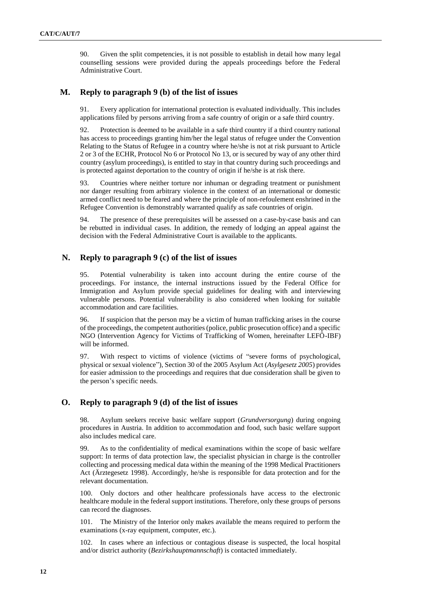90. Given the split competencies, it is not possible to establish in detail how many legal counselling sessions were provided during the appeals proceedings before the Federal Administrative Court.

## **M. Reply to paragraph 9 (b) of the list of issues**

91. Every application for international protection is evaluated individually. This includes applications filed by persons arriving from a safe country of origin or a safe third country.

92. Protection is deemed to be available in a safe third country if a third country national has access to proceedings granting him/her the legal status of refugee under the Convention Relating to the Status of Refugee in a country where he/she is not at risk pursuant to Article 2 or 3 of the ECHR, Protocol No 6 or Protocol No 13, or is secured by way of any other third country (asylum proceedings), is entitled to stay in that country during such proceedings and is protected against deportation to the country of origin if he/she is at risk there.

93. Countries where neither torture nor inhuman or degrading treatment or punishment nor danger resulting from arbitrary violence in the context of an international or domestic armed conflict need to be feared and where the principle of non-refoulement enshrined in the Refugee Convention is demonstrably warranted qualify as safe countries of origin.

94. The presence of these prerequisites will be assessed on a case-by-case basis and can be rebutted in individual cases. In addition, the remedy of lodging an appeal against the decision with the Federal Administrative Court is available to the applicants.

## **N. Reply to paragraph 9 (c) of the list of issues**

95. Potential vulnerability is taken into account during the entire course of the proceedings. For instance, the internal instructions issued by the Federal Office for Immigration and Asylum provide special guidelines for dealing with and interviewing vulnerable persons. Potential vulnerability is also considered when looking for suitable accommodation and care facilities.

96. If suspicion that the person may be a victim of human trafficking arises in the course of the proceedings, the competent authorities (police, public prosecution office) and a specific NGO (Intervention Agency for Victims of Trafficking of Women, hereinafter LEFÖ-IBF) will be informed.

97. With respect to victims of violence (victims of "severe forms of psychological, physical or sexual violence"), Section 30 of the 2005 Asylum Act (*Asylgesetz 2005*) provides for easier admission to the proceedings and requires that due consideration shall be given to the person's specific needs.

### **O. Reply to paragraph 9 (d) of the list of issues**

98. Asylum seekers receive basic welfare support (*Grundversorgung*) during ongoing procedures in Austria. In addition to accommodation and food, such basic welfare support also includes medical care.

99. As to the confidentiality of medical examinations within the scope of basic welfare support: In terms of data protection law, the specialist physician in charge is the controller collecting and processing medical data within the meaning of the 1998 Medical Practitioners Act (Ärztegesetz 1998). Accordingly, he/she is responsible for data protection and for the relevant documentation.

100. Only doctors and other healthcare professionals have access to the electronic healthcare module in the federal support institutions. Therefore, only these groups of persons can record the diagnoses.

101. The Ministry of the Interior only makes available the means required to perform the examinations (x-ray equipment, computer, etc.).

102. In cases where an infectious or contagious disease is suspected, the local hospital and/or district authority (*Bezirkshauptmannschaft*) is contacted immediately.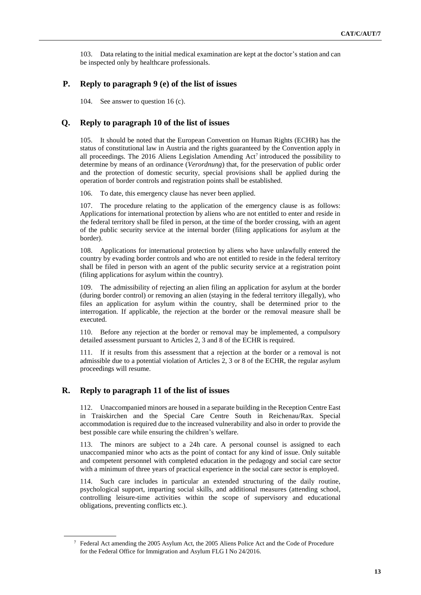103. Data relating to the initial medical examination are kept at the doctor's station and can be inspected only by healthcare professionals.

## **P. Reply to paragraph 9 (e) of the list of issues**

104. See answer to question 16 (c).

### **Q. Reply to paragraph 10 of the list of issues**

105. It should be noted that the European Convention on Human Rights (ECHR) has the status of constitutional law in Austria and the rights guaranteed by the Convention apply in all proceedings. The  $2016$  Aliens Legislation Amending Act<sup>7</sup> introduced the possibility to determine by means of an ordinance (*Verordnung*) that, for the preservation of public order and the protection of domestic security, special provisions shall be applied during the operation of border controls and registration points shall be established.

106. To date, this emergency clause has never been applied.

107. The procedure relating to the application of the emergency clause is as follows: Applications for international protection by aliens who are not entitled to enter and reside in the federal territory shall be filed in person, at the time of the border crossing, with an agent of the public security service at the internal border (filing applications for asylum at the border).

108. Applications for international protection by aliens who have unlawfully entered the country by evading border controls and who are not entitled to reside in the federal territory shall be filed in person with an agent of the public security service at a registration point (filing applications for asylum within the country).

109. The admissibility of rejecting an alien filing an application for asylum at the border (during border control) or removing an alien (staying in the federal territory illegally), who files an application for asylum within the country, shall be determined prior to the interrogation. If applicable, the rejection at the border or the removal measure shall be executed.

110. Before any rejection at the border or removal may be implemented, a compulsory detailed assessment pursuant to Articles 2, 3 and 8 of the ECHR is required.

111. If it results from this assessment that a rejection at the border or a removal is not admissible due to a potential violation of Articles 2, 3 or 8 of the ECHR, the regular asylum proceedings will resume.

### **R. Reply to paragraph 11 of the list of issues**

112. Unaccompanied minors are housed in a separate building in the Reception Centre East in Traiskirchen and the Special Care Centre South in Reichenau/Rax. Special accommodation is required due to the increased vulnerability and also in order to provide the best possible care while ensuring the children's welfare.

113. The minors are subject to a 24h care. A personal counsel is assigned to each unaccompanied minor who acts as the point of contact for any kind of issue. Only suitable and competent personnel with completed education in the pedagogy and social care sector with a minimum of three years of practical experience in the social care sector is employed.

114. Such care includes in particular an extended structuring of the daily routine, psychological support, imparting social skills, and additional measures (attending school, controlling leisure-time activities within the scope of supervisory and educational obligations, preventing conflicts etc.).

<sup>7</sup> Federal Act amending the 2005 Asylum Act, the 2005 Aliens Police Act and the Code of Procedure for the Federal Office for Immigration and Asylum FLG I No 24/2016.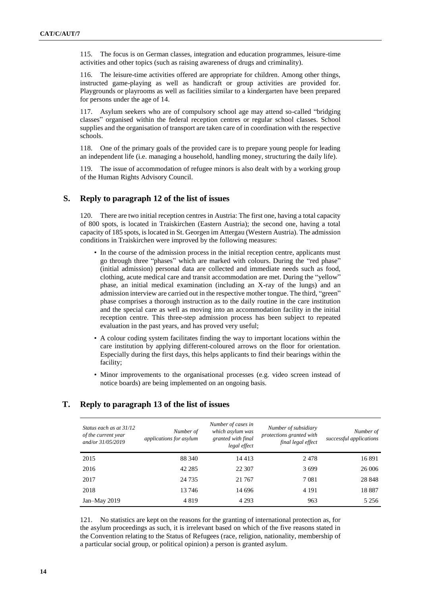115. The focus is on German classes, integration and education programmes, leisure-time activities and other topics (such as raising awareness of drugs and criminality).

116. The leisure-time activities offered are appropriate for children. Among other things, instructed game-playing as well as handicraft or group activities are provided for. Playgrounds or playrooms as well as facilities similar to a kindergarten have been prepared for persons under the age of 14.

117. Asylum seekers who are of compulsory school age may attend so-called "bridging classes" organised within the federal reception centres or regular school classes. School supplies and the organisation of transport are taken care of in coordination with the respective schools.

118. One of the primary goals of the provided care is to prepare young people for leading an independent life (i.e. managing a household, handling money, structuring the daily life).

119. The issue of accommodation of refugee minors is also dealt with by a working group of the Human Rights Advisory Council.

### **S. Reply to paragraph 12 of the list of issues**

120. There are two initial reception centres in Austria: The first one, having a total capacity of 800 spots, is located in Traiskirchen (Eastern Austria); the second one, having a total capacity of 185 spots, is located in St. Georgen im Attergau (Western Austria). The admission conditions in Traiskirchen were improved by the following measures:

- In the course of the admission process in the initial reception centre, applicants must go through three "phases" which are marked with colours. During the "red phase" (initial admission) personal data are collected and immediate needs such as food, clothing, acute medical care and transit accommodation are met. During the "yellow" phase, an initial medical examination (including an X-ray of the lungs) and an admission interview are carried out in the respective mother tongue. The third, "green" phase comprises a thorough instruction as to the daily routine in the care institution and the special care as well as moving into an accommodation facility in the initial reception centre. This three-step admission process has been subject to repeated evaluation in the past years, and has proved very useful;
- A colour coding system facilitates finding the way to important locations within the care institution by applying different-coloured arrows on the floor for orientation. Especially during the first days, this helps applicants to find their bearings within the facility;
- Minor improvements to the organisational processes (e.g. video screen instead of notice boards) are being implemented on an ongoing basis.

## **T. Reply to paragraph 13 of the list of issues**

| Status each as at 31/12<br>of the current year<br>and/or 31/05/2019 | Number of<br>applications for asylum | Number of cases in<br>which asylum was<br>granted with final<br>legal effect | Number of subsidiary<br>protections granted with<br>final legal effect | Number of<br>successful applications |
|---------------------------------------------------------------------|--------------------------------------|------------------------------------------------------------------------------|------------------------------------------------------------------------|--------------------------------------|
| 2015                                                                | 88 340                               | 14 4 13                                                                      | 2478                                                                   | 16891                                |
| 2016                                                                | 42 28 5                              | 22 307                                                                       | 3699                                                                   | 26 006                               |
| 2017                                                                | 24 7 35                              | 21 767                                                                       | 7 0 8 1                                                                | 28 848                               |
| 2018                                                                | 13746                                | 14 696                                                                       | 4 1 9 1                                                                | 18887                                |
| Jan-May $2019$                                                      | 4819                                 | 4 2 9 3                                                                      | 963                                                                    | 5 2 5 6                              |

121. No statistics are kept on the reasons for the granting of international protection as, for the asylum proceedings as such, it is irrelevant based on which of the five reasons stated in the Convention relating to the Status of Refugees [\(race,](https://de.wikipedia.org/wiki/Rasse_(Ethnologie)(TextavailableinGermanonly)) [religion,](https://de.wikipedia.org/wiki/Religion(TextavailableinGermanonly)) [nationality,](https://de.wikipedia.org/wiki/Staatsb%C3%BCrgerschaft(TextavailableinGermanonly)) membership of a particular social group, or political opinion) a person is granted asylum.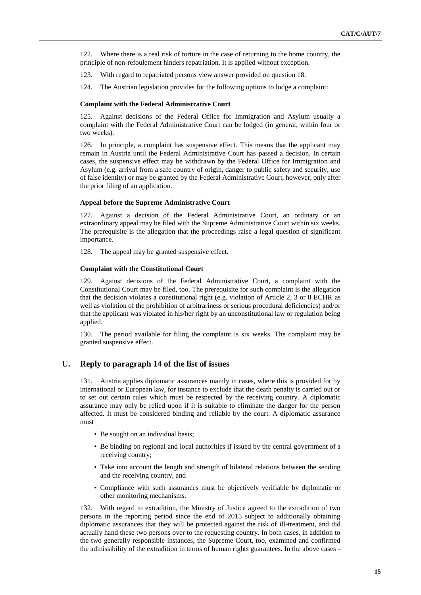122. Where there is a real risk of torture in the case of returning to the home country, the principle of non-refoulement hinders repatriation. It is applied without exception.

123. With regard to repatriated persons view answer provided on question 18.

124. The Austrian legislation provides for the following options to lodge a complaint:

### **Complaint with the Federal Administrative Court**

125. Against decisions of the Federal Office for Immigration and Asylum usually a complaint with the Federal Administrative Court can be lodged (in general, within four or two weeks).

126. In principle, a complaint has suspensive effect. This means that the applicant may remain in Austria until the Federal Administrative Court has passed a decision. In certain cases, the suspensive effect may be withdrawn by the Federal Office for Immigration and Asylum (e.g. arrival from a safe country of origin, danger to public safety and security, use of false identity) or may be granted by the Federal Administrative Court, however, only after the prior filing of an application.

### **Appeal before the Supreme Administrative Court**

127. Against a decision of the Federal Administrative Court, an ordinary or an extraordinary appeal may be filed with the Supreme Administrative Court within six weeks. The prerequisite is the allegation that the proceedings raise a legal question of significant importance.

128. The appeal may be granted suspensive effect.

### **Complaint with the Constitutional Court**

129. Against decisions of the Federal Administrative Court, a complaint with the Constitutional Court may be filed, too. The prerequisite for such complaint is the allegation that the decision violates a constitutional right (e.g. violation of Article 2, 3 or 8 ECHR as well as violation of the prohibition of arbitrariness or serious procedural deficiencies) and/or that the applicant was violated in his/her right by an unconstitutional law or regulation being applied.

130. The period available for filing the complaint is six weeks. The complaint may be granted suspensive effect.

## **U. Reply to paragraph 14 of the list of issues**

131. Austria applies diplomatic assurances mainly in cases, where this is provided for by international or European law, for instance to exclude that the death penalty is carried out or to set out certain rules which must be respected by the receiving country. A diplomatic assurance may only be relied upon if it is suitable to eliminate the danger for the person affected. It must be considered binding and reliable by the court. A diplomatic assurance must

- Be sought on an individual basis;
- Be binding on regional and local authorities if issued by the central government of a receiving country;
- Take into account the length and strength of bilateral relations between the sending and the receiving country, and
- Compliance with such assurances must be objectively verifiable by diplomatic or other monitoring mechanisms.

132. With regard to extradition, the Ministry of Justice agreed to the extradition of two persons in the reporting period since the end of 2015 subject to additionally obtaining diplomatic assurances that they will be protected against the risk of ill-treatment, and did actually hand these two persons over to the requesting country. In both cases, in addition to the two generally responsible instances, the Supreme Court, too, examined and confirmed the admissibility of the extradition in terms of human rights guarantees. In the above cases -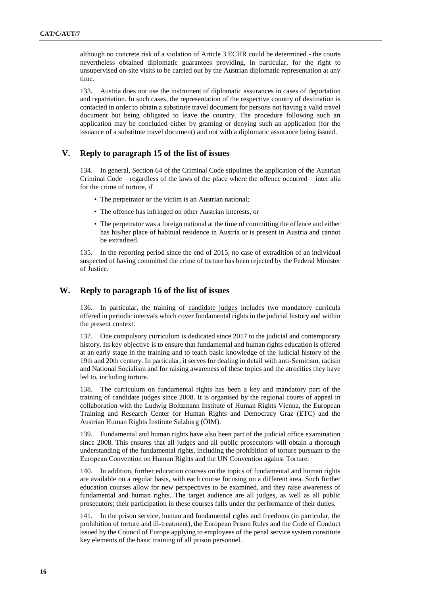although no concrete risk of a violation of Article 3 ECHR could be determined - the courts nevertheless obtained diplomatic guarantees providing, in particular, for the right to unsupervised on-site visits to be carried out by the Austrian diplomatic representation at any time.

133. Austria does not use the instrument of diplomatic assurances in cases of deportation and repatriation. In such cases, the representation of the respective country of destination is contacted in order to obtain a substitute travel document for persons not having a valid travel document but being obligated to leave the country. The procedure following such an application may be concluded either by granting or denying such an application (for the issuance of a substitute travel document) and not with a diplomatic assurance being issued.

## **V. Reply to paragraph 15 of the list of issues**

134. In general, Section 64 of the Criminal Code stipulates the application of the Austrian Criminal Code – regardless of the laws of the place where the offence occurred – inter alia for the crime of torture, if

- The perpetrator or the victim is an Austrian national;
- The offence has infringed on other Austrian interests, or
- The perpetrator was a foreign national at the time of committing the offence and either has his/her place of habitual residence in Austria or is present in Austria and cannot be extradited.

135. In the reporting period since the end of 2015, no case of extradition of an individual suspected of having committed the crime of torture has been rejected by the Federal Minister of Justice.

## **W. Reply to paragraph 16 of the list of issues**

136. In particular, the training of candidate judges includes two mandatory curricula offered in periodic intervals which cover fundamental rights in the judicial history and within the present context.

137. One compulsory curriculum is dedicated since 2017 to the judicial and contemporary history. Its key objective is to ensure that fundamental and human rights education is offered at an early stage in the training and to teach basic knowledge of the judicial history of the 19th and 20th century. In particular, it serves for dealing in detail with anti-Semitism, racism and National Socialism and for raising awareness of these topics and the atrocities they have led to, including torture.

138. The curriculum on fundamental rights has been a key and mandatory part of the training of candidate judges since 2008. It is organised by the regional courts of appeal in collaboration with the Ludwig Boltzmann Institute of Human Rights Vienna, the European Training and Research Center for Human Rights and Democracy Graz (ETC) and the Austrian Human Rights Institute Salzburg (ÖIM).

139. Fundamental and human rights have also been part of the judicial office examination since 2008. This ensures that all judges and all public prosecutors will obtain a thorough understanding of the fundamental rights, including the prohibition of torture pursuant to the European Convention on Human Rights and the UN Convention against Torture.

140. In addition, further education courses on the topics of fundamental and human rights are available on a regular basis, with each course focusing on a different area. Such further education courses allow for new perspectives to be examined, and they raise awareness of fundamental and human rights. The target audience are all judges, as well as all public prosecutors; their participation in these courses falls under the performance of their duties.

141. In the prison service, human and fundamental rights and freedoms (in particular, the prohibition of torture and ill-treatment), the European Prison Rules and the Code of Conduct issued by the Council of Europe applying to employees of the penal service system constitute key elements of the basic training of all prison personnel.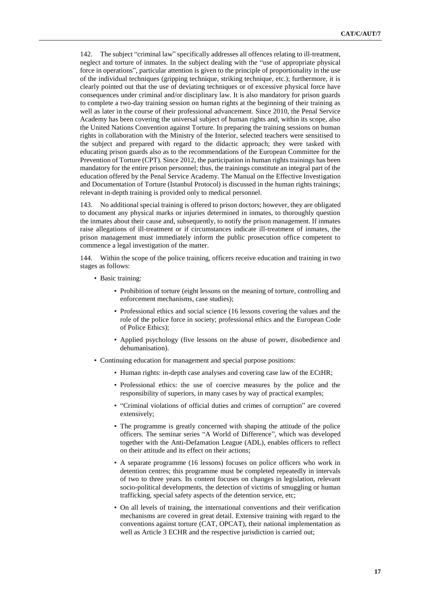142. The subject "criminal law" specifically addresses all offences relating to ill-treatment, neglect and torture of inmates. In the subject dealing with the "use of appropriate physical force in operations", particular attention is given to the principle of proportionality in the use of the individual techniques (gripping technique, striking technique, etc.); furthermore, it is clearly pointed out that the use of deviating techniques or of excessive physical force have consequences under criminal and/or disciplinary law. It is also mandatory for prison guards to complete a two-day training session on human rights at the beginning of their training as well as later in the course of their professional advancement. Since 2010, the Penal Service Academy has been covering the universal subject of human rights and, within its scope, also the United Nations Convention against Torture. In preparing the training sessions on human rights in collaboration with the Ministry of the Interior, selected teachers were sensitised to the subject and prepared with regard to the didactic approach; they were tasked with educating prison guards also as to the recommendations of the European Committee for the Prevention of Torture (CPT). Since 2012, the participation in human rights trainings has been mandatory for the entire prison personnel; thus, the trainings constitute an integral part of the education offered by the Penal Service Academy. The Manual on the Effective Investigation and Documentation of Torture (Istanbul Protocol) is discussed in the human rights trainings; relevant in-depth training is provided only to medical personnel.

143. No additional special training is offered to prison doctors; however, they are obligated to document any physical marks or injuries determined in inmates, to thoroughly question the inmates about their cause and, subsequently, to notify the prison management. If inmates raise allegations of ill-treatment or if circumstances indicate ill-treatment of inmates, the prison management must immediately inform the public prosecution office competent to commence a legal investigation of the matter.

144. Within the scope of the police training, officers receive education and training in two stages as follows:

- Basic training:
	- Prohibition of torture (eight lessons on the meaning of torture, controlling and enforcement mechanisms, case studies);
	- Professional ethics and social science (16 lessons covering the values and the role of the police force in society; professional ethics and the European Code of Police Ethics);
	- Applied psychology (five lessons on the abuse of power, disobedience and dehumanisation).
- Continuing education for management and special purpose positions:
	- Human rights: in-depth case analyses and covering case law of the ECtHR;
	- Professional ethics: the use of coercive measures by the police and the responsibility of superiors, in many cases by way of practical examples;
	- "Criminal violations of official duties and crimes of corruption" are covered extensively;
	- The programme is greatly concerned with shaping the attitude of the police officers. The seminar series "A World of Difference", which was developed together with the Anti-Defamation League (ADL), enables officers to reflect on their attitude and its effect on their actions;
	- A separate programme (16 lessons) focuses on police officers who work in detention centres; this programme must be completed repeatedly in intervals of two to three years. Its content focuses on changes in legislation, relevant socio-political developments, the detection of victims of smuggling or human trafficking, special safety aspects of the detention service, etc;
	- On all levels of training, the international conventions and their verification mechanisms are covered in great detail. Extensive training with regard to the conventions against torture (CAT, OPCAT), their national implementation as well as Article 3 ECHR and the respective jurisdiction is carried out;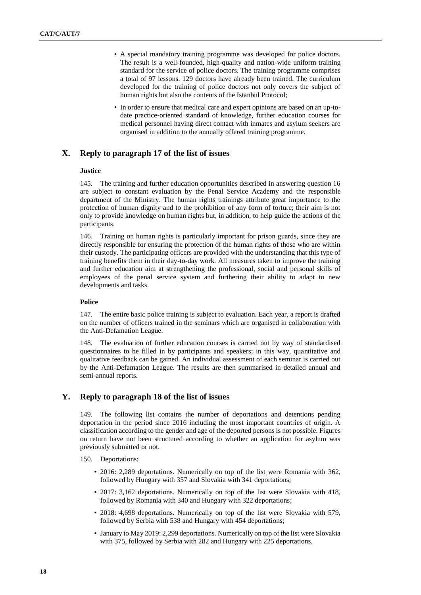- A special mandatory training programme was developed for police doctors. The result is a well-founded, high-quality and nation-wide uniform training standard for the service of police doctors. The training programme comprises a total of 97 lessons. 129 doctors have already been trained. The curriculum developed for the training of police doctors not only covers the subject of human rights but also the contents of the Istanbul Protocol;
- In order to ensure that medical care and expert opinions are based on an up-todate practice-oriented standard of knowledge, further education courses for medical personnel having direct contact with inmates and asylum seekers are organised in addition to the annually offered training programme.

## **X. Reply to paragraph 17 of the list of issues**

### **Justice**

145. The training and further education opportunities described in answering question 16 are subject to constant evaluation by the Penal Service Academy and the responsible department of the Ministry. The human rights trainings attribute great importance to the protection of human dignity and to the prohibition of any form of torture; their aim is not only to provide knowledge on human rights but, in addition, to help guide the actions of the participants.

146. Training on human rights is particularly important for prison guards, since they are directly responsible for ensuring the protection of the human rights of those who are within their custody. The participating officers are provided with the understanding that this type of training benefits them in their day-to-day work. All measures taken to improve the training and further education aim at strengthening the professional, social and personal skills of employees of the penal service system and furthering their ability to adapt to new developments and tasks.

#### **Police**

147. The entire basic police training is subject to evaluation. Each year, a report is drafted on the number of officers trained in the seminars which are organised in collaboration with the Anti-Defamation League.

148. The evaluation of further education courses is carried out by way of standardised questionnaires to be filled in by participants and speakers; in this way, quantitative and qualitative feedback can be gained. An individual assessment of each seminar is carried out by the Anti-Defamation League. The results are then summarised in detailed annual and semi-annual reports.

### **Y. Reply to paragraph 18 of the list of issues**

149. The following list contains the number of deportations and detentions pending deportation in the period since 2016 including the most important countries of origin. A classification according to the gender and age of the deported persons is not possible. Figures on return have not been structured according to whether an application for asylum was previously submitted or not.

- 150. Deportations:
	- 2016: 2,289 deportations. Numerically on top of the list were Romania with 362, followed by Hungary with 357 and Slovakia with 341 deportations;
	- 2017: 3,162 deportations. Numerically on top of the list were Slovakia with 418, followed by Romania with 340 and Hungary with 322 deportations;
	- 2018: 4,698 deportations. Numerically on top of the list were Slovakia with 579, followed by Serbia with 538 and Hungary with 454 deportations;
	- January to May 2019: 2,299 deportations. Numerically on top of the list were Slovakia with 375, followed by Serbia with 282 and Hungary with 225 deportations.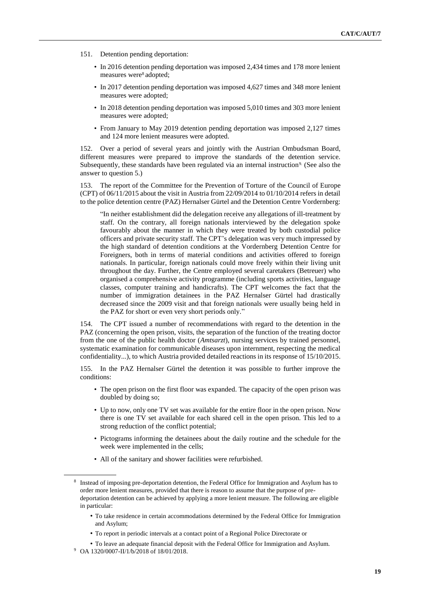- 151. Detention pending deportation:
	- In 2016 detention pending deportation was imposed 2,434 times and 178 more lenient measures were<sup>8</sup> adopted;
	- In 2017 detention pending deportation was imposed 4,627 times and 348 more lenient measures were adopted;
	- In 2018 detention pending deportation was imposed 5,010 times and 303 more lenient measures were adopted;
	- From January to May 2019 detention pending deportation was imposed 2,127 times and 124 more lenient measures were adopted.

152. Over a period of several years and jointly with the Austrian Ombudsman Board, different measures were prepared to improve the standards of the detention service. Subsequently, these standards have been regulated via an internal instruction<sup>9</sup>. (See also the answer to question 5.)

153. The [report of the Committee for the Prevention of Torture](https://rm.coe.int/CoERMPublicCommonSearchServices/DisplayDCTMContent?documentId=0900001680653ec7) of the Council of Europe (CPT) of  $06/11/2015$  about the visit in Austria from  $22/09/2014$  to  $01/10/2014$  refers in detail to the police detention centre (PAZ) Hernalser Gürtel and the Detention Centre Vordernberg:

"In neither establishment did the delegation receive any allegations of ill-treatment by staff. On the contrary, all foreign nationals interviewed by the delegation spoke favourably about the manner in which they were treated by both custodial police officers and private security staff. The CPT's delegation was very much impressed by the high standard of detention conditions at the Vordernberg Detention Centre for Foreigners, both in terms of material conditions and activities offered to foreign nationals. In particular, foreign nationals could move freely within their living unit throughout the day. Further, the Centre employed several caretakers (Betreuer) who organised a comprehensive activity programme (including sports activities, language classes, computer training and handicrafts). The CPT welcomes the fact that the number of immigration detainees in the PAZ Hernalser Gürtel had drastically decreased since the 2009 visit and that foreign nationals were usually being held in the PAZ for short or even very short periods only*.*"

154. The CPT issued a number of recommendations with regard to the detention in the PAZ (concerning the open prison, visits, the separation of the function of the treating doctor from the one of the public health doctor (*Amtsarzt*), nursing services by trained personnel, systematic examination for communicable diseases upon internment, respecting the medical confidentiality...), to which Austria provided detailed reactions in its [response of 15/10/2015.](https://rm.coe.int/CoERMPublicCommonSearchServices/DisplayDCTMContent?documentId=0900001680653ec6)

155. In the PAZ Hernalser Gürtel the detention it was possible to further improve the conditions:

- The open prison on the first floor was expanded. The capacity of the open prison was doubled by doing so;
- Up to now, only one TV set was available for the entire floor in the open prison. Now there is one TV set available for each shared cell in the open prison. This led to a strong reduction of the conflict potential;
- Pictograms informing the detainees about the daily routine and the schedule for the week were implemented in the cells;
- All of the sanitary and shower facilities were refurbished.

- To take residence in certain accommodations determined by the Federal Office for Immigration and Asylum;
- To report in periodic intervals at a contact point of a Regional Police Directorate or

<sup>&</sup>lt;sup>8</sup> Instead of imposing pre-deportation detention, the Federal Office for Immigration and Asylum has to order more lenient measures, provided that there is reason to assume that the purpose of predeportation detention can be achieved by applying a more lenient measure. The following are eligible in particular:

<sup>•</sup> To leave an adequate financial deposit with the Federal Office for Immigration and Asylum.

<sup>9</sup> OA 1320/0007-II/1/b/2018 of 18/01/2018.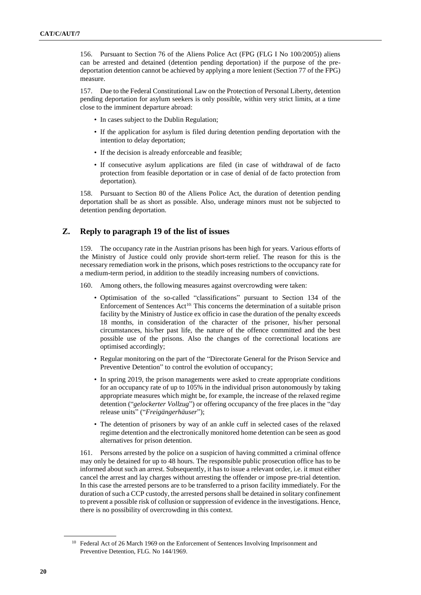156. Pursuant to Section 76 of the Aliens Police Act (FPG (FLG I No 100/2005)) aliens can be arrested and detained (detention pending deportation) if the purpose of the predeportation detention cannot be achieved by applying a more lenient (Section 77 of the FPG) measure.

157. Due to the Federal Constitutional Law on the Protection of Personal Liberty, detention pending deportation for asylum seekers is only possible, within very strict limits, at a time close to the imminent departure abroad:

- In cases subject to the Dublin Regulation;
- If the application for asylum is filed during detention pending deportation with the intention to delay deportation;
- If the decision is already enforceable and feasible;
- If consecutive asylum applications are filed (in case of withdrawal of de facto protection from feasible deportation or in case of denial of de facto protection from deportation).

158. Pursuant to Section 80 of the Aliens Police Act, the duration of detention pending deportation shall be as short as possible. Also, underage minors must not be subjected to detention pending deportation.

## **Z. Reply to paragraph 19 of the list of issues**

159. The occupancy rate in the Austrian prisons has been high for years. Various efforts of the Ministry of Justice could only provide short-term relief. The reason for this is the necessary remediation work in the prisons, which poses restrictions to the occupancy rate for a medium-term period, in addition to the steadily increasing numbers of convictions.

160. Among others, the following measures against overcrowding were taken:

- Optimisation of the so-called "classifications" pursuant to Section 134 of the Enforcement of Sentences Act<sup>10:</sup> This concerns the determination of a suitable prison facility by the Ministry of Justice ex officio in case the duration of the penalty exceeds 18 months, in consideration of the character of the prisoner, his/her personal circumstances, his/her past life, the nature of the offence committed and the best possible use of the prisons. Also the changes of the correctional locations are optimised accordingly;
- Regular monitoring on the part of the "Directorate General for the Prison Service and Preventive Detention" to control the evolution of occupancy;
- In spring 2019, the prison managements were asked to create appropriate conditions for an occupancy rate of up to 105% in the individual prison autonomously by taking appropriate measures which might be, for example, the increase of the relaxed regime detention ("*gelockerter Vollzug*") or offering occupancy of the free places in the "day release units" ("*Freigängerhäuser*");
- The detention of prisoners by way of an ankle cuff in selected cases of the relaxed regime detention and the electronically monitored home detention can be seen as good alternatives for prison detention.

161. Persons arrested by the police on a suspicion of having committed a criminal offence may only be detained for up to 48 hours. The responsible public prosecution office has to be informed about such an arrest. Subsequently, it has to issue a relevant order, i.e. it must either cancel the arrest and lay charges without arresting the offender or impose pre-trial detention. In this case the arrested persons are to be transferred to a prison facility immediately. For the duration of such a CCP custody, the arrested persons shall be detained in solitary confinement to prevent a possible risk of collusion or suppression of evidence in the investigations. Hence, there is no possibility of overcrowding in this context.

<sup>&</sup>lt;sup>10</sup> Federal Act of 26 March 1969 on the Enforcement of Sentences Involving Imprisonment and Preventive Detention, [FLG. No 144/1969.](https://www.ris.bka.gv.at/Dokumente/BgblPdf/1969_144_0/1969_144_0.pdf(textonlyavailableinGerman))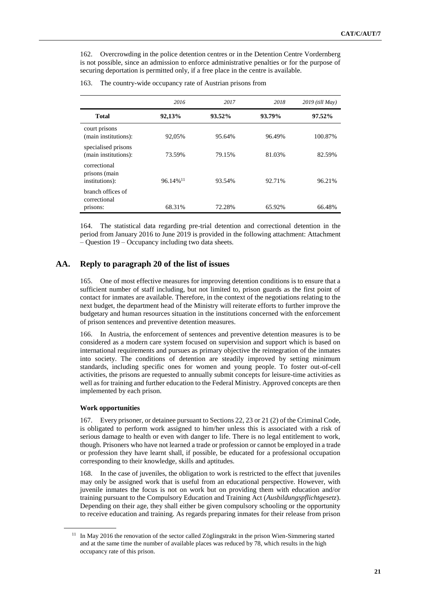162. Overcrowding in the police detention centres or in the Detention Centre Vordernberg is not possible, since an admission to enforce administrative penalties or for the purpose of securing deportation is permitted only, if a free place in the centre is available.

|                                                 | 2016                    | 2017   | 2018   | 2019 (till May) |
|-------------------------------------------------|-------------------------|--------|--------|-----------------|
| <b>Total</b>                                    | 92,13%                  | 93.52% | 93.79% | 97.52%          |
| court prisons<br>(main institutions):           | 92,05%                  | 95.64% | 96.49% | 100.87%         |
| specialised prisons<br>(main institutions):     | 73.59%                  | 79.15% | 81.03% | 82.59%          |
| correctional<br>prisons (main<br>institutions): | $96.14\%$ <sup>11</sup> | 93.54% | 92.71% | 96.21%          |
| branch offices of<br>correctional<br>prisons:   | 68.31%                  | 72.28% | 65.92% | 66.48%          |

#### 163. The country-wide occupancy rate of Austrian prisons from

164. The statistical data regarding pre-trial detention and correctional detention in the period from January 2016 to June 2019 is provided in the following attachment: Attachment – Question 19 – Occupancy including two data sheets.

### **AA. Reply to paragraph 20 of the list of issues**

165. One of most effective measures for improving detention conditions is to ensure that a sufficient number of staff including, but not limited to, prison guards as the first point of contact for inmates are available. Therefore, in the context of the negotiations relating to the next budget, the department head of the Ministry will reiterate efforts to further improve the budgetary and human resources situation in the institutions concerned with the enforcement of prison sentences and preventive detention measures.

166. In Austria, the enforcement of sentences and preventive detention measures is to be considered as a modern care system focused on supervision and support which is based on international requirements and pursues as primary objective the reintegration of the inmates into society. The conditions of detention are steadily improved by setting minimum standards, including specific ones for women and young people. To foster out-of-cell activities, the prisons are requested to annually submit concepts for leisure-time activities as well as for training and further education to the Federal Ministry. Approved concepts are then implemented by each prison.

#### **Work opportunities**

167. Every prisoner, or detainee pursuant to Sections 22, 23 or 21 (2) of the Criminal Code, is obligated to perform work assigned to him/her unless this is associated with a risk of serious damage to health or even with danger to life. There is no legal entitlement to work, though. Prisoners who have not learned a trade or profession or cannot be employed in a trade or profession they have learnt shall, if possible, be educated for a professional occupation corresponding to their knowledge, skills and aptitudes.

168. In the case of juveniles, the obligation to work is restricted to the effect that juveniles may only be assigned work that is useful from an educational perspective. However, with juvenile inmates the focus is not on work but on providing them with education and/or training pursuant to the Compulsory Education and Training Act (*Ausbildungspflichtgesetz*). Depending on their age, they shall either be given compulsory schooling or the opportunity to receive education and training. As regards preparing inmates for their release from prison

<sup>&</sup>lt;sup>11</sup> In May 2016 the renovation of the sector called Zöglingstrakt in the prison Wien-Simmering started and at the same time the number of available places was reduced by 78, which results in the high occupancy rate of this prison.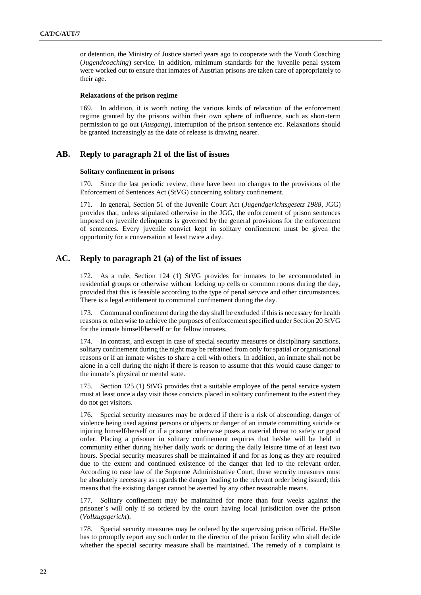or detention, the Ministry of Justice started years ago to cooperate with the Youth Coaching (*Jugendcoaching*) service. In addition, minimum standards for the juvenile penal system were worked out to ensure that inmates of Austrian prisons are taken care of appropriately to their age.

#### **Relaxations of the prison regime**

169. In addition, it is worth noting the various kinds of relaxation of the enforcement regime granted by the prisons within their own sphere of influence, such as short-term permission to go out (*Ausgang*), interruption of the prison sentence etc. Relaxations should be granted increasingly as the date of release is drawing nearer.

## **AB. Reply to paragraph 21 of the list of issues**

#### **Solitary confinement in prisons**

170. Since the last periodic review, there have been no changes to the provisions of the Enforcement of Sentences Act (StVG) concerning solitary confinement.

171. In general, Section 51 of the Juvenile Court Act (*Jugendgerichtsgesetz 1988*, JGG) provides that, unless stipulated otherwise in the JGG, the enforcement of prison sentences imposed on juvenile delinquents is governed by the general provisions for the enforcement of sentences. Every juvenile convict kept in solitary confinement must be given the opportunity for a conversation at least twice a day.

## **AC. Reply to paragraph 21 (a) of the list of issues**

172. As a rule, Section 124 (1) StVG provides for inmates to be accommodated in residential groups or otherwise without locking up cells or common rooms during the day, provided that this is feasible according to the type of penal service and other circumstances. There is a legal entitlement to communal confinement during the day.

173. Communal confinement during the day shall be excluded if this is necessary for health reasons or otherwise to achieve the purposes of enforcement specified under Section 20 StVG for the inmate himself/herself or for fellow inmates.

174. In contrast, and except in case of special security measures or disciplinary sanctions, solitary confinement during the night may be refrained from only for spatial or organisational reasons or if an inmate wishes to share a cell with others. In addition, an inmate shall not be alone in a cell during the night if there is reason to assume that this would cause danger to the inmate's physical or mental state.

175. Section 125 (1) StVG provides that a suitable employee of the penal service system must at least once a day visit those convicts placed in solitary confinement to the extent they do not get visitors.

176. Special security measures may be ordered if there is a risk of absconding, danger of violence being used against persons or objects or danger of an inmate committing suicide or injuring himself/herself or if a prisoner otherwise poses a material threat to safety or good order. Placing a prisoner in solitary confinement requires that he/she will be held in community either during his/her daily work or during the daily leisure time of at least two hours. Special security measures shall be maintained if and for as long as they are required due to the extent and continued existence of the danger that led to the relevant order. According to case law of the Supreme Administrative Court, these security measures must be absolutely necessary as regards the danger leading to the relevant order being issued; this means that the existing danger cannot be averted by any other reasonable means.

177. Solitary confinement may be maintained for more than four weeks against the prisoner's will only if so ordered by the court having local jurisdiction over the prison (*Vollzugsgericht*).

178. Special security measures may be ordered by the supervising prison official. He/She has to promptly report any such order to the director of the prison facility who shall decide whether the special security measure shall be maintained. The remedy of a complaint is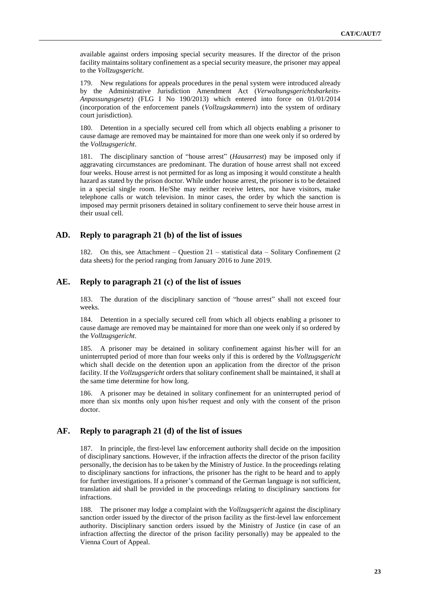available against orders imposing special security measures. If the director of the prison facility maintains solitary confinement as a special security measure, the prisoner may appeal to the *Vollzugsgericht*.

179. New regulations for appeals procedures in the penal system were introduced already by the Administrative Jurisdiction Amendment Act (*Verwaltungsgerichtsbarkeits-Anpassungsgesetz*) (FLG I No 190/2013) which entered into force on 01/01/2014 (incorporation of the enforcement panels (*Vollzugskammern*) into the system of ordinary court jurisdiction).

180. Detention in a specially secured cell from which all objects enabling a prisoner to cause damage are removed may be maintained for more than one week only if so ordered by the *Vollzugsgericht*.

181. The disciplinary sanction of "house arrest" (*Hausarrest*) may be imposed only if aggravating circumstances are predominant. The duration of house arrest shall not exceed four weeks. House arrest is not permitted for as long as imposing it would constitute a health hazard as stated by the prison doctor. While under house arrest, the prisoner is to be detained in a special single room. He/She may neither receive letters, nor have visitors, make telephone calls or watch television. In minor cases, the order by which the sanction is imposed may permit prisoners detained in solitary confinement to serve their house arrest in their usual cell.

### **AD. Reply to paragraph 21 (b) of the list of issues**

182. On this, see Attachment – Question 21 – statistical data – Solitary Confinement (2 data sheets) for the period ranging from January 2016 to June 2019.

### **AE. Reply to paragraph 21 (c) of the list of issues**

183. The duration of the disciplinary sanction of "house arrest" shall not exceed four weeks.

184. Detention in a specially secured cell from which all objects enabling a prisoner to cause damage are removed may be maintained for more than one week only if so ordered by the *Vollzugsgericht*.

185. A prisoner may be detained in solitary confinement against his/her will for an uninterrupted period of more than four weeks only if this is ordered by the *Vollzugsgericht* which shall decide on the detention upon an application from the director of the prison facility. If the *Vollzugsgericht* orders that solitary confinement shall be maintained, it shall at the same time determine for how long.

186. A prisoner may be detained in solitary confinement for an uninterrupted period of more than six months only upon his/her request and only with the consent of the prison doctor.

### **AF. Reply to paragraph 21 (d) of the list of issues**

187. In principle, the first-level law enforcement authority shall decide on the imposition of disciplinary sanctions. However, if the infraction affects the director of the prison facility personally, the decision has to be taken by the Ministry of Justice. In the proceedings relating to disciplinary sanctions for infractions, the prisoner has the right to be heard and to apply for further investigations. If a prisoner's command of the German language is not sufficient, translation aid shall be provided in the proceedings relating to disciplinary sanctions for infractions.

188. The prisoner may lodge a complaint with the *Vollzugsgericht* against the disciplinary sanction order issued by the director of the prison facility as the first-level law enforcement authority. Disciplinary sanction orders issued by the Ministry of Justice (in case of an infraction affecting the director of the prison facility personally) may be appealed to the Vienna Court of Appeal.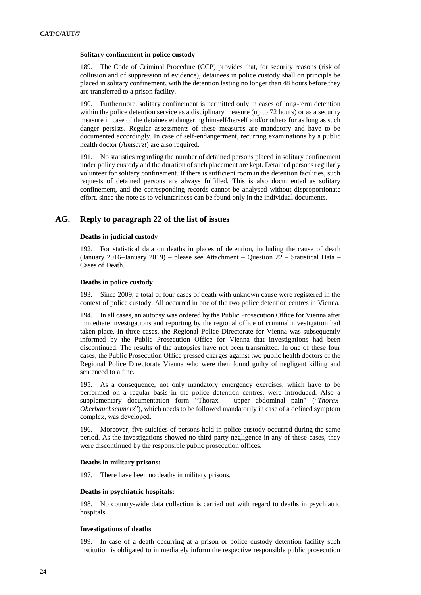#### **Solitary confinement in police custody**

189. The Code of Criminal Procedure (CCP) provides that, for security reasons (risk of collusion and of suppression of evidence), detainees in police custody shall on principle be placed in solitary confinement, with the detention lasting no longer than 48 hours before they are transferred to a prison facility.

190. Furthermore, solitary confinement is permitted only in cases of long-term detention within the police detention service as a disciplinary measure (up to 72 hours) or as a security measure in case of the detainee endangering himself/herself and/or others for as long as such danger persists. Regular assessments of these measures are mandatory and have to be documented accordingly. In case of self-endangerment, recurring examinations by a public health doctor (*Amtsarzt*) are also required.

191. No statistics regarding the number of detained persons placed in solitary confinement under policy custody and the duration of such placement are kept. Detained persons regularly volunteer for solitary confinement. If there is sufficient room in the detention facilities, such requests of detained persons are always fulfilled. This is also documented as solitary confinement, and the corresponding records cannot be analysed without disproportionate effort, since the note as to voluntariness can be found only in the individual documents.

## **AG. Reply to paragraph 22 of the list of issues**

### **Deaths in judicial custody**

192. For statistical data on deaths in places of detention, including the cause of death (January 2016–January 2019) – please see Attachment – Question 22 – Statistical Data – Cases of Death.

### **Deaths in police custody**

193. Since 2009, a total of four cases of death with unknown cause were registered in the context of police custody. All occurred in one of the two police detention centres in Vienna.

194. In all cases, an autopsy was ordered by the Public Prosecution Office for Vienna after immediate investigations and reporting by the regional office of criminal investigation had taken place. In three cases, the Regional Police Directorate for Vienna was subsequently informed by the Public Prosecution Office for Vienna that investigations had been discontinued. The results of the autopsies have not been transmitted. In one of these four cases, the Public Prosecution Office pressed charges against two public health doctors of the Regional Police Directorate Vienna who were then found guilty of negligent killing and sentenced to a fine.

195. As a consequence, not only mandatory emergency exercises, which have to be performed on a regular basis in the police detention centres, were introduced. Also a supplementary documentation form "Thorax – upper abdominal pain" ("*Thorax-Oberbauchschmerz*"), which needs to be followed mandatorily in case of a defined symptom complex, was developed.

196. Moreover, five suicides of persons held in police custody occurred during the same period. As the investigations showed no third-party negligence in any of these cases, they were discontinued by the responsible public prosecution offices.

#### **Deaths in military prisons:**

197. There have been no deaths in military prisons.

#### **Deaths in psychiatric hospitals:**

198. No country-wide data collection is carried out with regard to deaths in psychiatric hospitals.

### **Investigations of deaths**

199. In case of a death occurring at a prison or police custody detention facility such institution is obligated to immediately inform the respective responsible public prosecution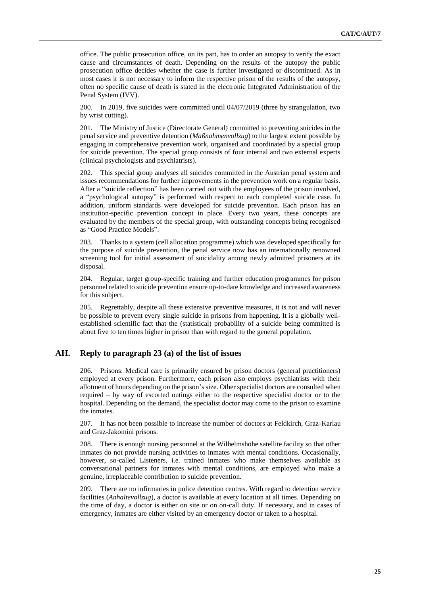office. The public prosecution office, on its part, has to order an autopsy to verify the exact cause and circumstances of death. Depending on the results of the autopsy the public prosecution office decides whether the case is further investigated or discontinued. As in most cases it is not necessary to inform the respective prison of the results of the autopsy, often no specific cause of death is stated in the electronic Integrated Administration of the Penal System (IVV).

200. In 2019, five suicides were committed until 04/07/2019 (three by strangulation, two by wrist cutting).

201. The Ministry of Justice (Directorate General) committed to preventing suicides in the penal service and preventive detention (*Maßnahmenvollzug*) to the largest extent possible by engaging in comprehensive prevention work, organised and coordinated by a special group for suicide prevention. The special group consists of four internal and two external experts (clinical psychologists and psychiatrists).

202. This special group analyses all suicides committed in the Austrian penal system and issues recommendations for further improvements in the prevention work on a regular basis. After a "suicide reflection" has been carried out with the employees of the prison involved, a "psychological autopsy" is performed with respect to each completed suicide case. In addition, uniform standards were developed for suicide prevention. Each prison has an institution-specific prevention concept in place. Every two years, these concepts are evaluated by the members of the special group, with outstanding concepts being recognised as "Good Practice Models".

203. Thanks to a system (cell allocation programme) which was developed specifically for the purpose of suicide prevention, the penal service now has an internationally renowned screening tool for initial assessment of suicidality among newly admitted prisoners at its disposal.

204. Regular, target group-specific training and further education programmes for prison personnel related to suicide prevention ensure up-to-date knowledge and increased awareness for this subject.

205. Regrettably, despite all these extensive preventive measures, it is not and will never be possible to prevent every single suicide in prisons from happening. It is a globally wellestablished scientific fact that the (statistical) probability of a suicide being committed is about five to ten times higher in prison than with regard to the general population.

## **AH. Reply to paragraph 23 (a) of the list of issues**

206. Prisons: Medical care is primarily ensured by prison doctors (general practitioners) employed at every prison. Furthermore, each prison also employs psychiatrists with their allotment of hours depending on the prison's size. Other specialist doctors are consulted when required – by way of escorted outings either to the respective specialist doctor or to the hospital. Depending on the demand, the specialist doctor may come to the prison to examine the inmates.

207. It has not been possible to increase the number of doctors at Feldkirch, Graz-Karlau and Graz-Jakomini prisons.

208. There is enough nursing personnel at the Wilhelmshöhe satellite facility so that other inmates do not provide nursing activities to inmates with mental conditions. Occasionally, however, so-called Listeners, i.e. trained inmates who make themselves available as conversational partners for inmates with mental conditions, are employed who make a genuine, irreplaceable contribution to suicide prevention.

209. There are no infirmaries in police detention centres. With regard to detention service facilities (*Anhaltevollzug*), a doctor is available at every location at all times. Depending on the time of day, a doctor is either on site or on on-call duty. If necessary, and in cases of emergency, inmates are either visited by an emergency doctor or taken to a hospital.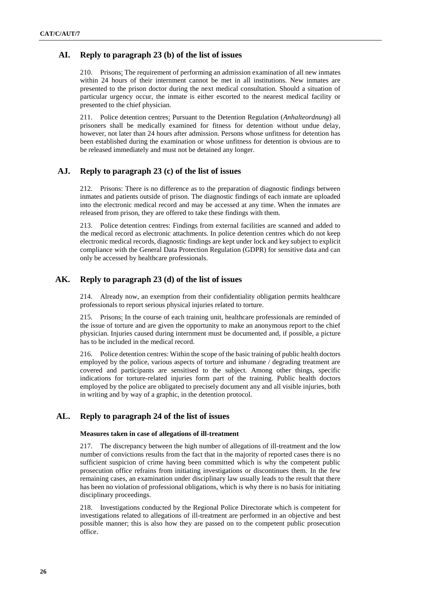## **AI. Reply to paragraph 23 (b) of the list of issues**

210. Prisons: The requirement of performing an admission examination of all new inmates within 24 hours of their internment cannot be met in all institutions. New inmates are presented to the prison doctor during the next medical consultation. Should a situation of particular urgency occur, the inmate is either escorted to the nearest medical facility or presented to the chief physician.

211. Police detention centres: Pursuant to the Detention Regulation (*Anhalteordnung*) all prisoners shall be medically examined for fitness for detention without undue delay, however, not later than 24 hours after admission. Persons whose unfitness for detention has been established during the examination or whose unfitness for detention is obvious are to be released immediately and must not be detained any longer.

## **AJ. Reply to paragraph 23 (c) of the list of issues**

212. Prisons: There is no difference as to the preparation of diagnostic findings between inmates and patients outside of prison. The diagnostic findings of each inmate are uploaded into the electronic medical record and may be accessed at any time. When the inmates are released from prison, they are offered to take these findings with them.

213. Police detention centres: Findings from external facilities are scanned and added to the medical record as electronic attachments. In police detention centres which do not keep electronic medical records, diagnostic findings are kept under lock and key subject to explicit compliance with the General Data Protection Regulation (GDPR) for sensitive data and can only be accessed by healthcare professionals.

## **AK. Reply to paragraph 23 (d) of the list of issues**

214. Already now, an exemption from their confidentiality obligation permits healthcare professionals to report serious physical injuries related to torture.

215. Prisons: In the course of each training unit, healthcare professionals are reminded of the issue of torture and are given the opportunity to make an anonymous report to the chief physician. Injuries caused during internment must be documented and, if possible, a picture has to be included in the medical record.

216. Police detention centres: Within the scope of the basic training of public health doctors employed by the police, various aspects of torture and inhumane / degrading treatment are covered and participants are sensitised to the subject. Among other things, specific indications for torture-related injuries form part of the training. Public health doctors employed by the police are obligated to precisely document any and all visible injuries, both in writing and by way of a graphic, in the detention protocol.

## **AL. Reply to paragraph 24 of the list of issues**

#### **Measures taken in case of allegations of ill-treatment**

217. The discrepancy between the high number of allegations of ill-treatment and the low number of convictions results from the fact that in the majority of reported cases there is no sufficient suspicion of crime having been committed which is why the competent public prosecution office refrains from initiating investigations or discontinues them. In the few remaining cases, an examination under disciplinary law usually leads to the result that there has been no violation of professional obligations, which is why there is no basis for initiating disciplinary proceedings.

218. Investigations conducted by the Regional Police Directorate which is competent for investigations related to allegations of ill-treatment are performed in an objective and best possible manner; this is also how they are passed on to the competent public prosecution office.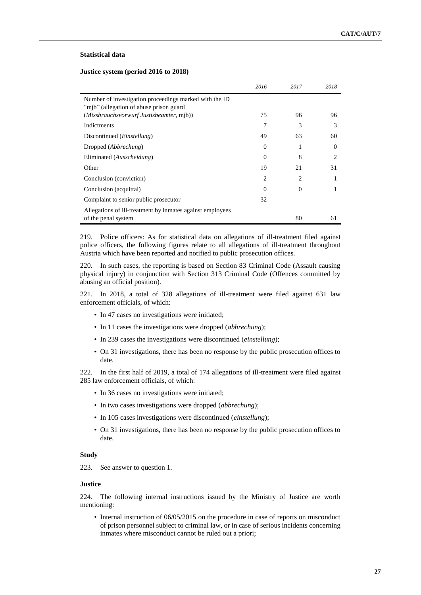### **Statistical data**

**Justice system (period 2016 to 2018)**

|                                                                                                   | 2016     | 2017     | 2018                        |
|---------------------------------------------------------------------------------------------------|----------|----------|-----------------------------|
| Number of investigation proceedings marked with the ID<br>"mjb" (allegation of abuse prison guard |          |          |                             |
| (Missbrauchsvorwurf Justizbeamter, mjb))                                                          | 75       | 96       | 96                          |
| Indictments                                                                                       | 7        | 3        | 3                           |
| Discontinued ( <i>Einstellung</i> )                                                               | 49       | 63       | 60                          |
| Dropped (Abbrechung)                                                                              | $\Omega$ |          | $\Omega$                    |
| Eliminated (Ausscheidung)                                                                         | $\Omega$ | 8        | $\mathcal{D}_{\mathcal{L}}$ |
| Other                                                                                             | 19       | 21       | 31                          |
| Conclusion (conviction)                                                                           | 2        | 2        |                             |
| Conclusion (acquittal)                                                                            | $\Omega$ | $\Omega$ |                             |
| Complaint to senior public prosecutor                                                             | 32       |          |                             |
| Allegations of ill-treatment by inmates against employees<br>of the penal system                  |          | 80       | 61                          |

219. Police officers: As for statistical data on allegations of ill-treatment filed against police officers, the following figures relate to all allegations of ill-treatment throughout Austria which have been reported and notified to public prosecution offices.

220. In such cases, the reporting is based on Section 83 Criminal Code (Assault causing physical injury) in conjunction with Section 313 Criminal Code (Offences committed by abusing an official position).

221. In 2018, a total of 328 allegations of ill-treatment were filed against 631 law enforcement officials, of which:

- In 47 cases no investigations were initiated;
- In 11 cases the investigations were dropped (*abbrechung*);
- In 239 cases the investigations were discontinued (*einstellung*);
- On 31 investigations, there has been no response by the public prosecution offices to date.

222. In the first half of 2019, a total of 174 allegations of ill-treatment were filed against 285 law enforcement officials, of which:

- In 36 cases no investigations were initiated;
- In two cases investigations were dropped (*abbrechung*);
- In 105 cases investigations were discontinued (*einstellung*);
- On 31 investigations, there has been no response by the public prosecution offices to date.

#### **Study**

223. See answer to question 1.

### **Justice**

224. The following internal instructions issued by the Ministry of Justice are worth mentioning:

• Internal instruction of 06/05/2015 on the procedure in case of reports on misconduct of prison personnel subject to criminal law, or in case of serious incidents concerning inmates where misconduct cannot be ruled out a priori;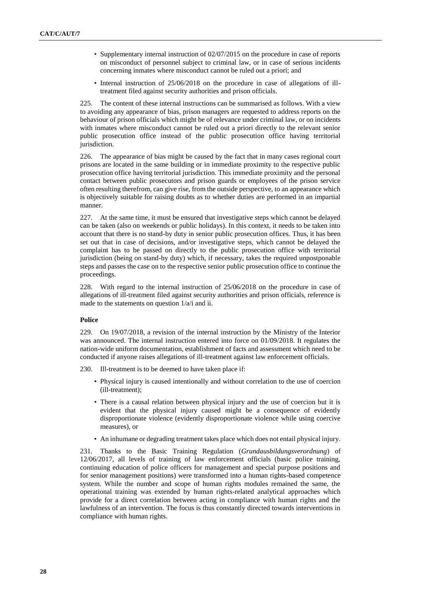- Supplementary internal instruction of 02/07/2015 on the procedure in case of reports on misconduct of personnel subject to criminal law, or in case of serious incidents concerning inmates where misconduct cannot be ruled out a priori; and
- Internal instruction of 25/06/2018 on the procedure in case of allegations of illtreatment filed against security authorities and prison officials.

225. The content of these internal instructions can be summarised as follows. With a view to avoiding any appearance of bias, prison managers are requested to address reports on the behaviour of prison officials which might be of relevance under criminal law, or on incidents with inmates where misconduct cannot be ruled out a priori directly to the relevant senior public prosecution office instead of the public prosecution office having territorial jurisdiction.

226. The appearance of bias might be caused by the fact that in many cases regional court prisons are located in the same building or in immediate proximity to the respective public prosecution office having territorial jurisdiction. This immediate proximity and the personal contact between public prosecutors and prison guards or employees of the prison service often resulting therefrom, can give rise, from the outside perspective, to an appearance which is objectively suitable for raising doubts as to whether duties are performed in an impartial manner.

227. At the same time, it must be ensured that investigative steps which cannot be delayed can be taken (also on weekends or public holidays). In this context, it needs to be taken into account that there is no stand-by duty in senior public prosecution offices. Thus, it has been set out that in case of decisions, and/or investigative steps, which cannot be delayed the complaint has to be passed on directly to the public prosecution office with territorial jurisdiction (being on stand-by duty) which, if necessary, takes the required unpostponable steps and passes the case on to the respective senior public prosecution office to continue the proceedings.

228. With regard to the internal instruction of 25/06/2018 on the procedure in case of allegations of ill-treatment filed against security authorities and prison officials, reference is made to the statements on question 1/a/i and ii.

### **Police**

229. On 19/07/2018, a revision of the internal instruction by the Ministry of the Interior was announced. The internal instruction entered into force on 01/09/2018. It regulates the nation-wide uniform documentation, establishment of facts and assessment which need to be conducted if anyone raises allegations of ill-treatment against law enforcement officials.

230. Ill-treatment is to be deemed to have taken place if:

- Physical injury is caused intentionally and without correlation to the use of coercion (ill-treatment);
- There is a causal relation between physical injury and the use of coercion but it is evident that the physical injury caused might be a consequence of evidently disproportionate violence (evidently disproportionate violence while using coercive measures), or
- An inhumane or degrading treatment takes place which does not entail physical injury.

231. Thanks to the Basic Training Regulation (*Grundausbildungsverordnung*) of 12/06/2017, all levels of training of law enforcement officials (basic police training, continuing education of police officers for management and special purpose positions and for senior management positions) were transformed into a human rights-based competence system. While the number and scope of human rights modules remained the same, the operational training was extended by human rights-related analytical approaches which provide for a direct correlation between acting in compliance with human rights and the lawfulness of an intervention. The focus is thus constantly directed towards interventions in compliance with human rights.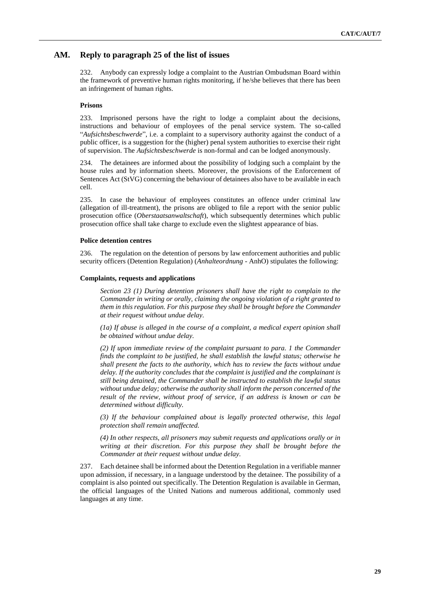### **AM. Reply to paragraph 25 of the list of issues**

232. Anybody can expressly lodge a complaint to the Austrian Ombudsman Board within the framework of preventive human rights monitoring, if he/she believes that there has been an infringement of human rights.

### **Prisons**

233. Imprisoned persons have the right to lodge a complaint about the decisions, instructions and behaviour of employees of the penal service system. The so-called "*Aufsichtsbeschwerde*", i.e. a complaint to a supervisory authority against the conduct of a public officer, is a suggestion for the (higher) penal system authorities to exercise their right of supervision. The *Aufsichtsbeschwerde* is non-formal and can be lodged anonymously.

234. The detainees are informed about the possibility of lodging such a complaint by the house rules and by information sheets. Moreover, the provisions of the Enforcement of Sentences Act (StVG) concerning the behaviour of detainees also have to be available in each cell.

235. In case the behaviour of employees constitutes an offence under criminal law (allegation of ill-treatment), the prisons are obliged to file a report with the senior public prosecution office (*Oberstaatsanwaltschaft*), which subsequently determines which public prosecution office shall take charge to exclude even the slightest appearance of bias.

#### **Police detention centres**

236. The regulation on the detention of persons by law enforcement authorities and public security officers (Detention Regulation) (*Anhalteordnung* - AnhO) stipulates the following:

#### **Complaints, requests and applications**

*Section 23 (1) During detention prisoners shall have the right to complain to the Commander in writing or orally, claiming the ongoing violation of a right granted to them in this regulation. For this purpose they shall be brought before the Commander at their request without undue delay.* 

*(1a) If abuse is alleged in the course of a complaint, a medical expert opinion shall be obtained without undue delay.*

*(2) If upon immediate review of the complaint pursuant to para. 1 the Commander finds the complaint to be justified, he shall establish the lawful status; otherwise he shall present the facts to the authority, which has to review the facts without undue delay. If the authority concludes that the complaint is justified and the complainant is still being detained, the Commander shall be instructed to establish the lawful status without undue delay; otherwise the authority shall inform the person concerned of the result of the review, without proof of service, if an address is known or can be determined without difficulty.* 

*(3) If the behaviour complained about is legally protected otherwise, this legal protection shall remain unaffected.* 

*(4) In other respects, all prisoners may submit requests and applications orally or in writing at their discretion. For this purpose they shall be brought before the Commander at their request without undue delay.*

237. Each detainee shall be informed about the Detention Regulation in a verifiable manner upon admission, if necessary, in a language understood by the detainee. The possibility of a complaint is also pointed out specifically. The Detention Regulation is available in German, the official languages of the United Nations and numerous additional, commonly used languages at any time.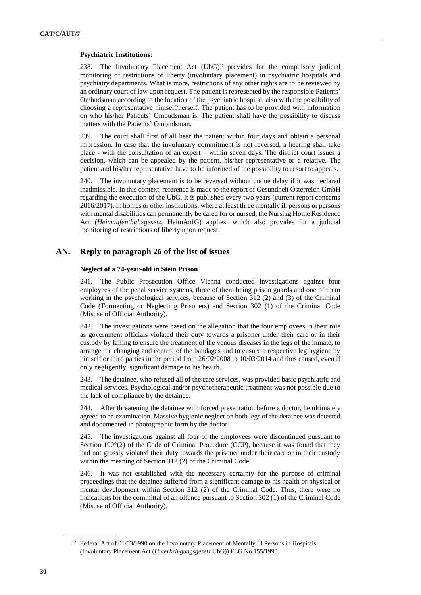#### **Psychiatric Institutions:**

238. The Involuntary Placement Act  $(UbG)^{12}$  provides for the compulsory judicial monitoring of restrictions of liberty (involuntary placement) in psychiatric hospitals and psychiatry departments. What is more, restrictions of any other rights are to be reviewed by an ordinary court of law upon request. The patient is represented by the responsible Patients' Ombudsman according to the location of the psychiatric hospital, also with the possibility of choosing a representative himself/herself. The patient has to be provided with information on who his/her Patients' Ombudsman is. The patient shall have the possibility to discuss matters with the Patients' Ombudsman.

239. The court shall first of all hear the patient within four days and obtain a personal impression. In case that the involuntary commitment is not reversed, a hearing shall take place - with the consultation of an expert – within seven days. The district court issues a decision, which can be appealed by the patient, his/her representative or a relative. The patient and his/her representative have to be informed of the possibility to resort to appeals.

240. The involuntary placement is to be reversed without undue delay if it was declared inadmissible. In this context, reference is made to th[e report of Gesundheit Österreich](https://jasmin.goeg.at/1041/) GmbH regarding the execution of the UbG. It is published every two years (current report concerns 2016/2017). In homes or other institutions, where at least three mentally ill persons or persons with mental disabilities can permanently be cared for or nursed, the Nursing Home Residence Act (*Heimaufenthaltsgesetz*, HeimAufG) applies, which also provides for a judicial monitoring of restrictions of liberty upon request.

## **AN. Reply to paragraph 26 of the list of issues**

### **Neglect of a 74-year-old in Stein Prison**

241. The Public Prosecution Office Vienna conducted investigations against four employees of the penal service systems, three of them being prison guards and one of them working in the psychological services, because of Section 312 (2) and (3) of the Criminal Code (Tormenting or Neglecting Prisoners) and Section 302 (1) of the Criminal Code (Misuse of Official Authority).

242. The investigations were based on the allegation that the four employees in their role as government officials violated their duty towards a prisoner under their care or in their custody by failing to ensure the treatment of the venous diseases in the legs of the inmate, to arrange the changing and control of the bandages and to ensure a respective leg hygiene by himself or third parties in the period from 26/02/2008 to 10/03/2014 and thus caused, even if only negligently, significant damage to his health.

243. The detainee, who refused all of the care services, was provided basic psychiatric and medical services. Psychological and/or psychotherapeutic treatment was not possible due to the lack of compliance by the detainee.

244. After threatening the detainee with forced presentation before a doctor, he ultimately agreed to an examination. Massive hygienic neglect on both legs of the detainee was detected and documented in photographic form by the doctor.

245. The investigations against all four of the employees were discontinued pursuant to Section 190°(2) of the Code of Criminal Procedure (CCP), because it was found that they had not grossly violated their duty towards the prisoner under their care or in their custody within the meaning of Section 312 (2) of the Criminal Code.

246. It was not established with the necessary certainty for the purpose of criminal proceedings that the detainee suffered from a significant damage to his health or physical or mental development within Section 312 (2) of the Criminal Code. Thus, there were no indications for the committal of an offence pursuant to Section 302 (1) of the Criminal Code (Misuse of Official Authority).

<sup>&</sup>lt;sup>12</sup> Federal Act of 01/03/1990 on the Involuntary Placement of Mentally Ill Persons in Hospitals (Involuntary Placement Act (*Unterbringungsgesetz* UbG)) [FLG No 155/1990.](https://www.ris.bka.gv.at/Dokumente/BgblPdf/1990_155_0/1990_155_0.pdf(TextavailableinGermanonly))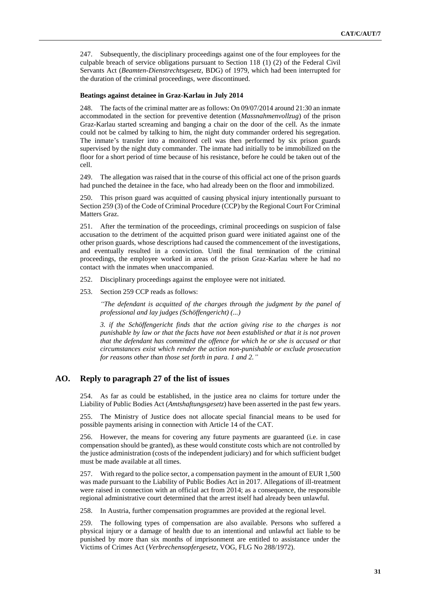247. Subsequently, the disciplinary proceedings against one of the four employees for the culpable breach of service obligations pursuant to Section 118 (1) (2) of the Federal Civil Servants Act (*Beamten-Dienstrechtsgesetz,* BDG) of 1979, which had been interrupted for the duration of the criminal proceedings, were discontinued.

### **Beatings against detainee in Graz-Karlau in July 2014**

248. The facts of the criminal matter are as follows: On 09/07/2014 around 21:30 an inmate accommodated in the section for preventive detention (*Massnahmenvollzug*) of the prison Graz-Karlau started screaming and banging a chair on the door of the cell. As the inmate could not be calmed by talking to him, the night duty commander ordered his segregation. The inmate's transfer into a monitored cell was then performed by six prison guards supervised by the night duty commander. The inmate had initially to be immobilized on the floor for a short period of time because of his resistance, before he could be taken out of the cell.

249. The allegation was raised that in the course of this official act one of the prison guards had punched the detainee in the face, who had already been on the floor and immobilized.

250. This prison guard was acquitted of causing physical injury intentionally pursuant to Section 259 (3) of the Code of Criminal Procedure (CCP) by the Regional Court For Criminal Matters Graz.

251. After the termination of the proceedings, criminal proceedings on suspicion of false accusation to the detriment of the acquitted prison guard were initiated against one of the other prison guards, whose descriptions had caused the commencement of the investigations, and eventually resulted in a conviction. Until the final termination of the criminal proceedings, the employee worked in areas of the prison Graz-Karlau where he had no contact with the inmates when unaccompanied.

- 252. Disciplinary proceedings against the employee were not initiated.
- 253. Section 259 CCP reads as follows:

*"The defendant is acquitted of the charges through the judgment by the panel of professional and lay judges (Schöffengericht) (...)*

*3. if the Schöffengericht finds that the action giving rise to the charges is not punishable by law or that the facts have not been established or that it is not proven that the defendant has committed the offence for which he or she is accused or that circumstances exist which render the action non-punishable or exclude prosecution for reasons other than those set forth in para. 1 and 2."*

### **AO. Reply to paragraph 27 of the list of issues**

254. As far as could be established, in the justice area no claims for torture under the Liability of Public Bodies Act (*Amtshaftungsgesetz*) have been asserted in the past few years.

255. The Ministry of Justice does not allocate special financial means to be used for possible payments arising in connection with Article 14 of the CAT.

256. However, the means for covering any future payments are guaranteed (i.e. in case compensation should be granted), as these would constitute costs which are not controlled by the justice administration (costs of the independent judiciary) and for which sufficient budget must be made available at all times.

257. With regard to the police sector, a compensation payment in the amount of EUR 1,500 was made pursuant to the Liability of Public Bodies Act in 2017. Allegations of ill-treatment were raised in connection with an official act from 2014; as a consequence, the responsible regional administrative court determined that the arrest itself had already been unlawful.

258. In Austria, further compensation programmes are provided at the regional level.

259. The following types of compensation are also available. Persons who suffered a physical injury or a damage of health due to an intentional and unlawful act liable to be punished by more than six months of imprisonment are entitled to assistance under the Victims of Crimes Act (*Verbrechensopfergesetz*, VOG, FLG No 288/1972).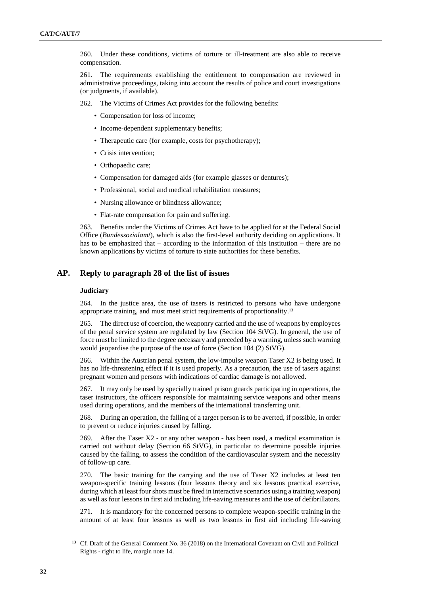260. Under these conditions, victims of torture or ill-treatment are also able to receive compensation.

261. The requirements establishing the entitlement to compensation are reviewed in administrative proceedings, taking into account the results of police and court investigations (or judgments, if available).

262. The Victims of Crimes Act provides for the following benefits:

- Compensation for loss of income;
- Income-dependent supplementary benefits:
- Therapeutic care (for example, costs for psychotherapy);
- Crisis intervention:
- Orthopaedic care;
- Compensation for damaged aids (for example glasses or dentures);
- Professional, social and medical rehabilitation measures;
- Nursing allowance or blindness allowance;
- Flat-rate compensation for pain and suffering.

263. Benefits under the Victims of Crimes Act have to be applied for at the Federal Social Office (*Bundessozialamt*), which is also the first-level authority deciding on applications. It has to be emphasized that – according to the information of this institution – there are no known applications by victims of torture to state authorities for these benefits.

### **AP. Reply to paragraph 28 of the list of issues**

#### **Judiciary**

264. In the justice area, the use of tasers is restricted to persons who have undergone appropriate training, and must meet strict requirements of proportionality.<sup>13</sup>

265. The direct use of coercion, the weaponry carried and the use of weapons by employees of the penal service system are regulated by law (Section 104 StVG). In general, the use of force must be limited to the degree necessary and preceded by a warning, unless such warning would jeopardise the purpose of the use of force (Section 104 (2) StVG).

266. Within the Austrian penal system, the low-impulse weapon Taser X2 is being used. It has no life-threatening effect if it is used properly. As a precaution, the use of tasers against pregnant women and persons with indications of cardiac damage is not allowed.

267. It may only be used by specially trained prison guards participating in operations, the taser instructors, the officers responsible for maintaining service weapons and other means used during operations, and the members of the international transferring unit.

268. During an operation, the falling of a target person is to be averted, if possible, in order to prevent or reduce injuries caused by falling.

269. After the Taser  $X2$  - or any other weapon - has been used, a medical examination is carried out without delay (Section 66 StVG), in particular to determine possible injuries caused by the falling, to assess the condition of the cardiovascular system and the necessity of follow-up care.

270. The basic training for the carrying and the use of Taser X2 includes at least ten weapon-specific training lessons (four lessons theory and six lessons practical exercise, during which at least four shots must be fired in interactive scenarios using a training weapon) as well as four lessons in first aid including life-saving measures and the use of defibrillators.

271. It is mandatory for the concerned persons to complete weapon-specific training in the amount of at least four lessons as well as two lessons in first aid including life-saving

<sup>&</sup>lt;sup>13</sup> Cf. Draft of the General Comment No. 36 (2018) on the International Covenant on Civil and Political Rights - right to life, margin note 14.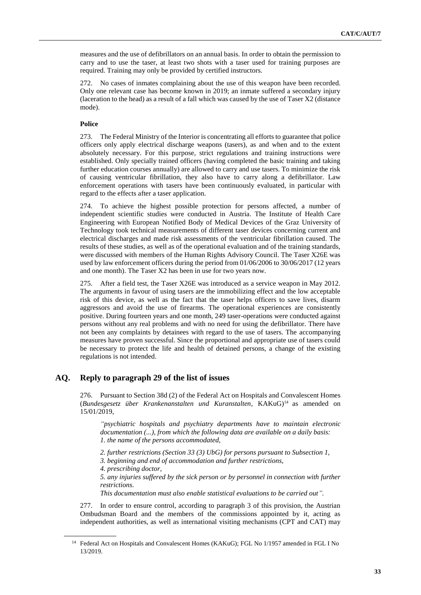measures and the use of defibrillators on an annual basis. In order to obtain the permission to carry and to use the taser, at least two shots with a taser used for training purposes are required. Training may only be provided by certified instructors.

272. No cases of inmates complaining about the use of this weapon have been recorded. Only one relevant case has become known in 2019; an inmate suffered a secondary injury (laceration to the head) as a result of a fall which was caused by the use of Taser X2 (distance mode).

### **Police**

273. The Federal Ministry of the Interior is concentrating all efforts to guarantee that police officers only apply electrical discharge weapons (tasers), as and when and to the extent absolutely necessary. For this purpose, strict regulations and training instructions were established. Only specially trained officers (having completed the basic training and taking further education courses annually) are allowed to carry and use tasers. To minimize the risk of causing ventricular fibrillation, they also have to carry along a defibrillator. Law enforcement operations with tasers have been continuously evaluated, in particular with regard to the effects after a taser application.

274. To achieve the highest possible protection for persons affected, a number of independent scientific studies were conducted in Austria. The Institute of Health Care Engineering with European Notified Body of Medical Devices of the Graz University of Technology took technical measurements of different taser devices concerning current and electrical discharges and made risk assessments of the ventricular fibrillation caused. The results of these studies, as well as of the operational evaluation and of the training standards, were discussed with members of the Human Rights Advisory Council. The Taser X26E was used by law enforcement officers during the period from 01/06/2006 to 30/06/2017 (12 years and one month). The Taser X2 has been in use for two years now.

275. After a field test, the Taser X26E was introduced as a service weapon in May 2012. The arguments in favour of using tasers are the immobilizing effect and the low acceptable risk of this device, as well as the fact that the taser helps officers to save lives, disarm aggressors and avoid the use of firearms. The operational experiences are consistently positive. During fourteen years and one month, 249 taser-operations were conducted against persons without any real problems and with no need for using the defibrillator. There have not been any complaints by detainees with regard to the use of tasers. The accompanying measures have proven successful. Since the proportional and appropriate use of tasers could be necessary to protect the life and health of detained persons, a change of the existing regulations is not intended.

## **AQ. Reply to paragraph 29 of the list of issues**

276. Pursuant to Section 38d (2) of the Federal Act on Hospitals and Convalescent Homes (*Bundesgesetz über Krankenanstalten und Kuranstalten*, KAKuG)<sup>14</sup> as amended on 15/01/2019,

*"psychiatric hospitals and psychiatry departments have to maintain electronic documentation (...), from which the following data are available on a daily basis: 1. the name of the persons accommodated,*

*2. further restrictions (Section 33 (3) UbG) for persons pursuant to Subsection 1,*

*3. beginning and end of accommodation and further restrictions,*

*4. prescribing doctor,*

*5. any injuries suffered by the sick person or by personnel in connection with further restrictions.*

*This documentation must also enable statistical evaluations to be carried out".*

277. In order to ensure control, according to paragraph 3 of this provision, the Austrian Ombudsman Board and the members of the commissions appointed by it, acting as independent authorities, as well as international visiting mechanisms (CPT and CAT) may

<sup>&</sup>lt;sup>14</sup> Federal Act on Hospitals and Convalescent Homes (KAKuG); [FGL No 1/1957](https://www.ris.bka.gv.at/Dokumente/BgblPdf/1957_1_0/1957_1_0.pdf) amended in FGL I No 13/2019.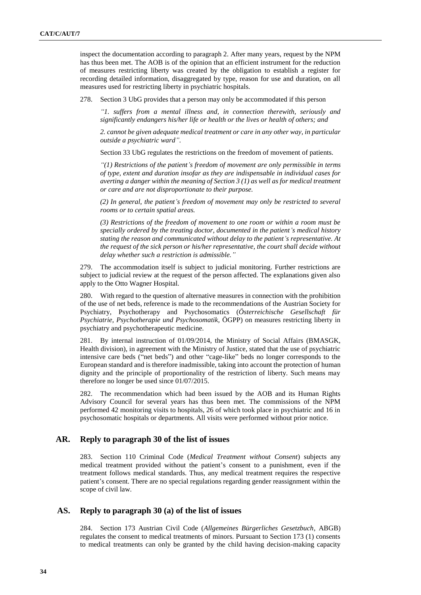inspect the documentation according to paragraph 2. After many years, request by the NPM has thus been met. The AOB is of the opinion that an efficient instrument for the reduction of measures restricting liberty was created by the obligation to establish a register for recording detailed information, disaggregated by type, reason for use and duration, on all measures used for restricting liberty in psychiatric hospitals.

278. Section 3 UbG provides that a person may only be accommodated if this person

*"1. suffers from a mental illness and, in connection therewith, seriously and significantly endangers his/her life or health or the lives or health of others; and* 

*2. cannot be given adequate medical treatment or care in any other way, in particular outside a psychiatric ward".*

Section 33 UbG regulates the restrictions on the freedom of movement of patients.

*"(1) Restrictions of the patient's freedom of movement are only permissible in terms of type, extent and duration insofar as they are indispensable in individual cases for averting a danger within the meaning of Section 3 (1) as well as for medical treatment or care and are not disproportionate to their purpose.*

*(2) In general, the patient's freedom of movement may only be restricted to several rooms or to certain spatial areas.*

*(3) Restrictions of the freedom of movement to one room or within a room must be specially ordered by the treating doctor, documented in the patient's medical history stating the reason and communicated without delay to the patient's representative. At the request of the sick person or his/her representative, the court shall decide without delay whether such a restriction is admissible."*

279. The accommodation itself is subject to judicial monitoring. Further restrictions are subject to judicial review at the request of the person affected. The explanations given also apply to the Otto Wagner Hospital.

280. With regard to the question of alternative measures in connection with the prohibition of the use of net beds, reference is made to the [recommendations of the Austrian Society for](https://www.oegpp.at/fileadmin/user_upload/news/OEGPP_FBM_Empfehlungen_final1.pdf)  [Psychiatry, Psychotherapy and Psychosomatics](https://www.oegpp.at/fileadmin/user_upload/news/OEGPP_FBM_Empfehlungen_final1.pdf) (*Österreichische Gesellschaft für Psychiatrie, Psychotherapie und Psychosomatik,* ÖGPP) on measures restricting liberty in psychiatry and psychotherapeutic medicine.

281. By internal instruction of 01/09/2014, the Ministry of Social Affairs (BMASGK, Health division), in agreement with the Ministry of Justice, stated that the use of psychiatric intensive care beds ("net beds") and other "cage-like" beds no longer corresponds to the European standard and is therefore inadmissible, taking into account the protection of human dignity and the principle of proportionality of the restriction of liberty. Such means may therefore no longer be used since 01/07/2015.

282. The recommendation which had been issued by the AOB and its Human Rights Advisory Council for several years has thus been met. The commissions of the NPM performed 42 monitoring visits to hospitals, 26 of which took place in psychiatric and 16 in psychosomatic hospitals or departments. All visits were performed without prior notice.

### **AR. Reply to paragraph 30 of the list of issues**

283. Section 110 Criminal Code (*Medical Treatment without Consent*) subjects any medical treatment provided without the patient's consent to a punishment, even if the treatment follows medical standards. Thus, any medical treatment requires the respective patient's consent. There are no special regulations regarding gender reassignment within the scope of civil law.

## **AS. Reply to paragraph 30 (a) of the list of issues**

284. Section 173 Austrian Civil Code (*Allgemeines Bürgerliches Gesetzbuch*, ABGB) regulates the consent to medical treatments of minors. Pursuant to Section 173 (1) consents to medical treatments can only be granted by the child having decision-making capacity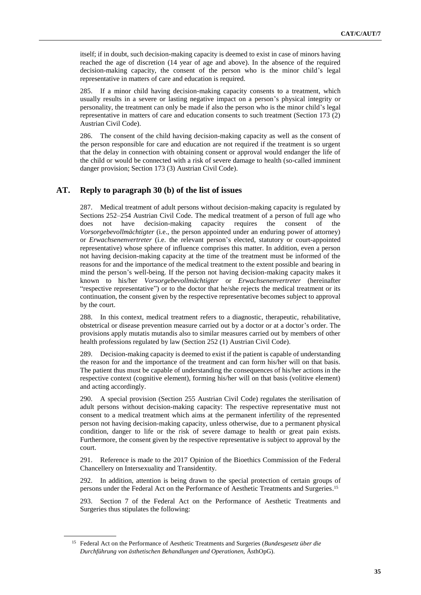itself; if in doubt, such decision-making capacity is deemed to exist in case of minors having reached the age of discretion (14 year of age and above). In the absence of the required decision-making capacity, the consent of the person who is the minor child's legal representative in matters of care and education is required.

285. If a minor child having decision-making capacity consents to a treatment, which usually results in a severe or lasting negative impact on a person's physical integrity or personality, the treatment can only be made if also the person who is the minor child's legal representative in matters of care and education consents to such treatment (Section 173 (2) Austrian Civil Code).

286. The consent of the child having decision-making capacity as well as the consent of the person responsible for care and education are not required if the treatment is so urgent that the delay in connection with obtaining consent or approval would endanger the life of the child or would be connected with a risk of severe damage to health (so-called imminent danger provision; Section 173 (3) Austrian Civil Code).

## **AT. Reply to paragraph 30 (b) of the list of issues**

287. Medical treatment of adult persons without decision-making capacity is regulated by Sections 252–254 Austrian Civil Code. The medical treatment of a person of full age who does not have decision-making capacity requires the consent of the *Vorsorgebevollmächtigter* (i.e., the person appointed under an enduring power of attorney) or *Erwachsenenvertreter* (i.e. the relevant person's elected, statutory or court-appointed representative) whose sphere of influence comprises this matter. In addition, even a person not having decision-making capacity at the time of the treatment must be informed of the reasons for and the importance of the medical treatment to the extent possible and bearing in mind the person's well-being. If the person not having decision-making capacity makes it known to his/her *Vorsorgebevollmächtigter* or *Erwachsenenvertreter* (hereinafter "respective representative") or to the doctor that he/she rejects the medical treatment or its continuation, the consent given by the respective representative becomes subject to approval by the court.

288. In this context, medical treatment refers to a diagnostic, therapeutic, rehabilitative, obstetrical or disease prevention measure carried out by a doctor or at a doctor's order. The provisions apply mutatis mutandis also to similar measures carried out by members of other health professions regulated by law (Section 252 (1) Austrian Civil Code).

289. Decision-making capacity is deemed to exist if the patient is capable of understanding the reason for and the importance of the treatment and can form his/her will on that basis. The patient thus must be capable of understanding the consequences of his/her actions in the respective context (cognitive element), forming his/her will on that basis (volitive element) and acting accordingly.

290. A special provision (Section 255 Austrian Civil Code) regulates the sterilisation of adult persons without decision-making capacity: The respective representative must not consent to a medical treatment which aims at the permanent infertility of the represented person not having decision-making capacity, unless otherwise, due to a permanent physical condition, danger to life or the risk of severe damage to health or great pain exists. Furthermore, the consent given by the respective representative is subject to approval by the court.

291. Reference is made to the 2017 [Opinion of the Bioethics Commission](https://www.bundeskanzleramt.gv.at/en/topics/bioethics-commission/publications-bioethics.html) of the Federal Chancellery on Intersexuality and Transidentity.

292. In addition, attention is being drawn to the special protection of certain groups of persons under the [Federal Act on the Performance of Aesthetic Treatments and Surgeries.](https://www.ris.bka.gv.at/eli/bgbl/i/2012/80/P0/NOR40141711) 15

293. Section 7 of the Federal Act on the Performance of Aesthetic Treatments and Surgeries thus stipulates the following:

<sup>15</sup> Federal Act on the Performance of Aesthetic Treatments and Surgeries (*Bundesgesetz über die Durchführung von ästhetischen Behandlungen und Operationen,* ÄsthOpG).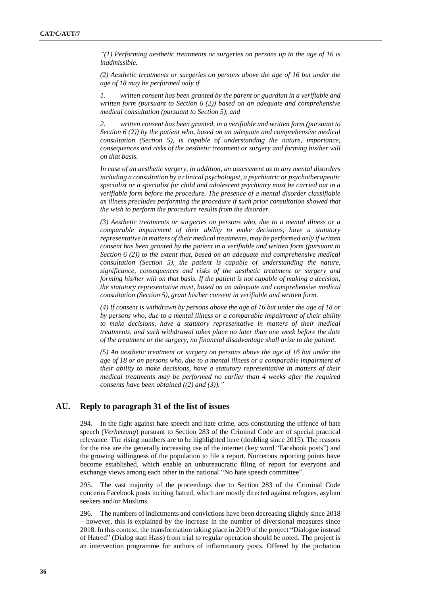*"(1) Performing aesthetic treatments or surgeries on persons up to the age of 16 is inadmissible.*

*(2) Aesthetic treatments or surgeries on persons above the age of 16 but under the age of 18 may be performed only if*

*1. written consent has been granted by the parent or guardian in a verifiable and written form (pursuant to Section 6 (2)) based on an adequate and comprehensive medical consultation (pursuant to Section 5), and*

*2. written consent has been granted, in a verifiable and written form (pursuant to Section 6 (2)) by the patient who, based on an adequate and comprehensive medical consultation (Section 5), is capable of understanding the nature, importance, consequences and risks of the aesthetic treatment or surgery and forming his/her will on that basis.*

*In case of an aesthetic surgery, in addition, an assessment as to any mental disorders including a consultation by a clinical psychologist, a psychiatric or psychotherapeutic specialist or a specialist for child and adolescent psychiatry must be carried out in a verifiable form before the procedure. The presence of a mental disorder classifiable as illness precludes performing the procedure if such prior consultation showed that the wish to perform the procedure results from the disorder.*

*(3) Aesthetic treatments or surgeries on persons who, due to a mental illness or a comparable impairment of their ability to make decisions, have a statutory representative in matters of their medical treatments, may be performed only if written consent has been granted by the patient in a verifiable and written form (pursuant to Section 6 (2)) to the extent that, based on an adequate and comprehensive medical consultation (Section 5), the patient is capable of understanding the nature, significance, consequences and risks of the aesthetic treatment or surgery and forming his/her will on that basis. If the patient is not capable of making a decision, the statutory representative must, based on an adequate and comprehensive medical consultation (Section 5), grant his/her consent in verifiable and written form.*

*(4) If consent is withdrawn by persons above the age of 16 but under the age of 18 or by persons who, due to a mental illness or a comparable impairment of their ability to make decisions, have a statutory representative in matters of their medical treatments, and such withdrawal takes place no later than one week before the date of the treatment or the surgery, no financial disadvantage shall arise to the patient.*

*(5) An aesthetic treatment or surgery on persons above the age of 16 but under the age of 18 or on persons who, due to a mental illness or a comparable impairment of their ability to make decisions, have a statutory representative in matters of their medical treatments may be performed no earlier than 4 weeks after the required consents have been obtained ((2) and (3))."*

## **AU. Reply to paragraph 31 of the list of issues**

294. In the fight against hate speech and hate crime, acts constituting the offence of hate speech (*Verhetzung*) pursuant to Section 283 of the Criminal Code are of special practical relevance. The rising numbers are to be highlighted here (doubling since 2015). The reasons for the rise are the generally increasing use of the internet (key word "Facebook posts") and the growing willingness of the population to file a report. Numerous reporting points have become established, which enable an unbureaucratic filing of report for everyone and exchange views among each other in the national "No hate speech committee".

295. The vast majority of the proceedings due to Section 283 of the Criminal Code concerns Facebook posts inciting hatred, which are mostly directed against refugees, asylum seekers and/or Muslims.

296. The numbers of indictments and convictions have been decreasing slightly since 2018 – however, this is explained by the increase in the number of diversional measures since 2018. In this context, the transformation taking place in 2019 of the project "Dialogue instead of Hatred" (Dialog statt Hass) from trial to regular operation should be noted. The project is an intervention programme for authors of inflammatory posts. Offered by the probation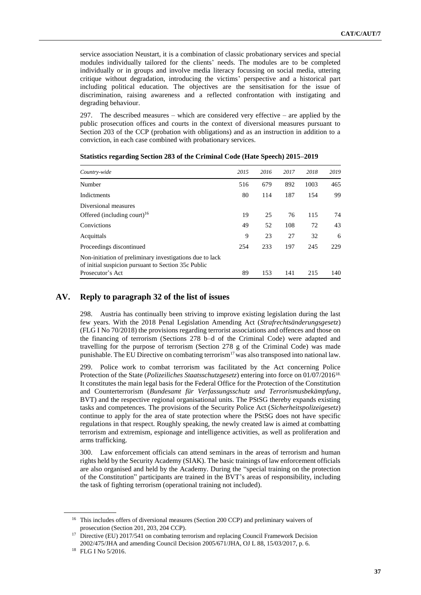service association Neustart, it is a combination of classic probationary services and special modules individually tailored for the clients' needs. The modules are to be completed individually or in groups and involve media literacy focussing on social media, uttering critique without degradation, introducing the victims' perspective and a historical part including political education. The objectives are the sensitisation for the issue of discrimination, raising awareness and a reflected confrontation with instigating and degrading behaviour.

297. The described measures – which are considered very effective – are applied by the public prosecution offices and courts in the context of diversional measures pursuant to Section 203 of the CCP (probation with obligations) and as an instruction in addition to a conviction, in each case combined with probationary services.

| Country-wide                                                                                                    | 2015 | 2016 | 2017 | 2018 | 2019 |
|-----------------------------------------------------------------------------------------------------------------|------|------|------|------|------|
| Number                                                                                                          | 516  | 679  | 892  | 1003 | 465  |
| Indictments                                                                                                     | 80   | 114  | 187  | 154  | 99   |
| Diversional measures                                                                                            |      |      |      |      |      |
| Offered (including court) <sup>16</sup>                                                                         | 19   | 25   | 76   | 115  | 74   |
| Convictions                                                                                                     | 49   | 52   | 108  | 72   | 43   |
| Acquittals                                                                                                      | 9    | 23   | 27   | 32   | 6    |
| Proceedings discontinued                                                                                        | 254  | 233  | 197  | 245  | 229  |
| Non-initiation of preliminary investigations due to lack<br>of initial suspicion pursuant to Section 35c Public |      |      |      |      |      |
| Prosecutor's Act                                                                                                | 89   | 153  | 141  | 215  | 140  |

| Statistics regarding Section 283 of the Criminal Code (Hate Speech) 2015–2019 |  |  |  |  |
|-------------------------------------------------------------------------------|--|--|--|--|
|                                                                               |  |  |  |  |

### **AV. Reply to paragraph 32 of the list of issues**

298. Austria has continually been striving to improve existing legislation during the last few years. With the 2018 Penal Legislation Amending Act (*Strafrechtsänderungsgesetz*) (FLG I No 70/2018) the provisions regarding terrorist associations and offences and those on the financing of terrorism (Sections 278 b–d of the Criminal Code) were adapted and travelling for the purpose of terrorism (Section 278 g of the Criminal Code) was made punishable. The EU Directive on combating terrorism<sup>17</sup> was also transposed into national law.

299. Police work to combat terrorism was facilitated by the Act concerning Police Protection of the State (*Polizeiliches Staatsschutzgesetz*) entering into force on 01/07/201618. It constitutes the main legal basis for the Federal Office for the Protection of the Constitution and Counterterrorism (*Bundesamt für Verfassungsschutz und Terrorismusbekämpfung*, BVT) and the respective regional organisational units. The PStSG thereby expands existing tasks and competences. The provisions of the Security Police Act (*Sicherheitspolizeigesetz*) continue to apply for the area of state protection where the PStSG does not have specific regulations in that respect. Roughly speaking, the newly created law is aimed at combatting terrorism and extremism, espionage and intelligence activities, as well as proliferation and arms trafficking.

300. Law enforcement officials can attend seminars in the areas of terrorism and human rights held by the Security Academy (SIAK). The basic trainings of law enforcement officials are also organised and held by the Academy. During the "special training on the protection of the Constitution" participants are trained in the BVT's areas of responsibility, including the task of fighting terrorism (operational training not included).

<sup>&</sup>lt;sup>16</sup> This includes offers of diversional measures (Section 200 CCP) and preliminary waivers of prosecution (Section 201, 203, 204 CCP).

<sup>&</sup>lt;sup>17</sup> Directive (EU) 2017/541 on combating terrorism and replacing Council Framework Decision 2002/475/JHA and amending Council Decision 2005/671/JHA, OJ L 88, 15/03/2017, p. 6.

<sup>18</sup> FLG I No 5/2016.